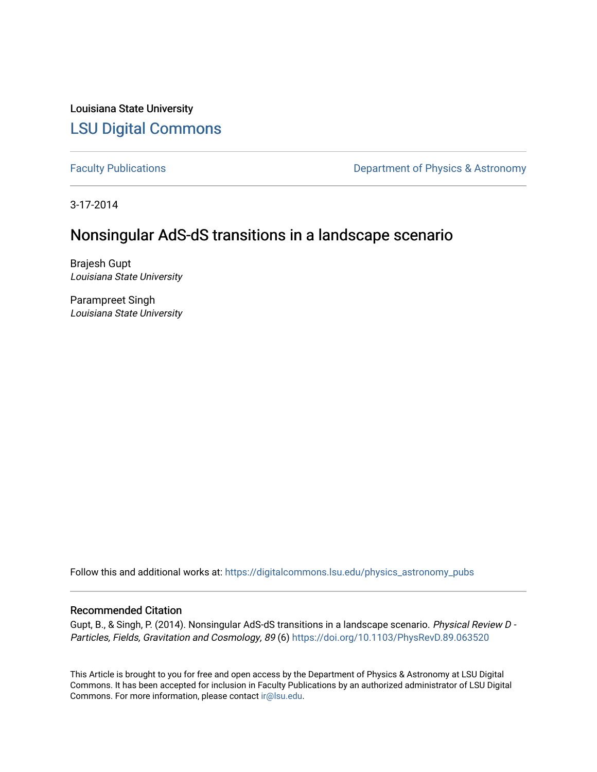Louisiana State University [LSU Digital Commons](https://digitalcommons.lsu.edu/)

[Faculty Publications](https://digitalcommons.lsu.edu/physics_astronomy_pubs) **Exercise 2** Constant Department of Physics & Astronomy

3-17-2014

# Nonsingular AdS-dS transitions in a landscape scenario

Brajesh Gupt Louisiana State University

Parampreet Singh Louisiana State University

Follow this and additional works at: [https://digitalcommons.lsu.edu/physics\\_astronomy\\_pubs](https://digitalcommons.lsu.edu/physics_astronomy_pubs?utm_source=digitalcommons.lsu.edu%2Fphysics_astronomy_pubs%2F5054&utm_medium=PDF&utm_campaign=PDFCoverPages) 

## Recommended Citation

Gupt, B., & Singh, P. (2014). Nonsingular AdS-dS transitions in a landscape scenario. Physical Review D -Particles, Fields, Gravitation and Cosmology, 89 (6) https://doi.org/10.1103/PhysRevD.89.063520

This Article is brought to you for free and open access by the Department of Physics & Astronomy at LSU Digital Commons. It has been accepted for inclusion in Faculty Publications by an authorized administrator of LSU Digital Commons. For more information, please contact [ir@lsu.edu](mailto:ir@lsu.edu).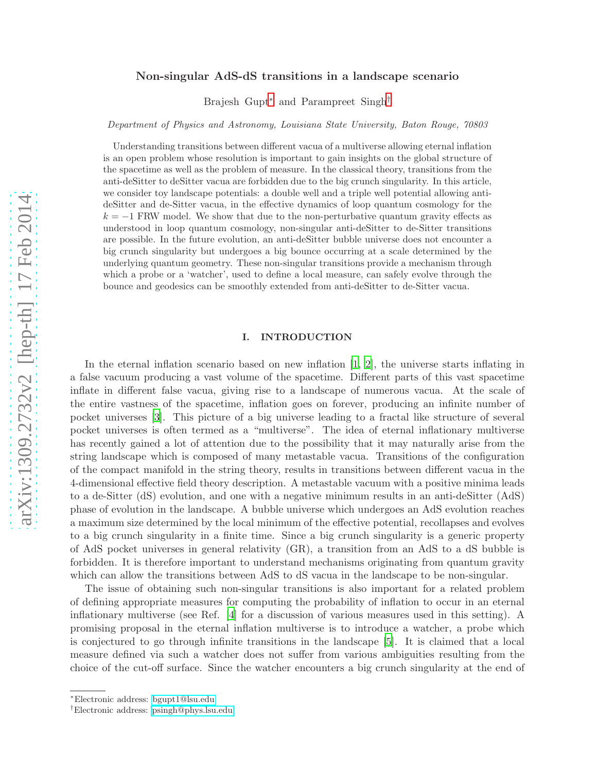## Non-singular AdS-dS transitions in a landscape scenario

Brajesh Gupt[∗](#page-1-0) and Parampreet Singh[†](#page-1-1)

Department of Physics and Astronomy, Louisiana State University, Baton Rouge, 70803

Understanding transitions between different vacua of a multiverse allowing eternal inflation is an open problem whose resolution is important to gain insights on the global structure of the spacetime as well as the problem of measure. In the classical theory, transitions from the anti-deSitter to deSitter vacua are forbidden due to the big crunch singularity. In this article, we consider toy landscape potentials: a double well and a triple well potential allowing antideSitter and de-Sitter vacua, in the effective dynamics of loop quantum cosmology for the  $k = -1$  FRW model. We show that due to the non-perturbative quantum gravity effects as understood in loop quantum cosmology, non-singular anti-deSitter to de-Sitter transitions are possible. In the future evolution, an anti-deSitter bubble universe does not encounter a big crunch singularity but undergoes a big bounce occurring at a scale determined by the underlying quantum geometry. These non-singular transitions provide a mechanism through which a probe or a 'watcher', used to define a local measure, can safely evolve through the bounce and geodesics can be smoothly extended from anti-deSitter to de-Sitter vacua.

## I. INTRODUCTION

In the eternal inflation scenario based on new inflation  $[1, 2]$  $[1, 2]$  $[1, 2]$ , the universe starts inflating in a false vacuum producing a vast volume of the spacetime. Different parts of this vast spacetime inflate in different false vacua, giving rise to a landscape of numerous vacua. At the scale of the entire vastness of the spacetime, inflation goes on forever, producing an infinite number of pocket universes [\[3\]](#page-20-2). This picture of a big universe leading to a fractal like structure of several pocket universes is often termed as a "multiverse". The idea of eternal inflationary multiverse has recently gained a lot of attention due to the possibility that it may naturally arise from the string landscape which is composed of many metastable vacua. Transitions of the configuration of the compact manifold in the string theory, results in transitions between different vacua in the 4-dimensional effective field theory description. A metastable vacuum with a positive minima leads to a de-Sitter (dS) evolution, and one with a negative minimum results in an anti-deSitter (AdS) phase of evolution in the landscape. A bubble universe which undergoes an AdS evolution reaches a maximum size determined by the local minimum of the effective potential, recollapses and evolves to a big crunch singularity in a finite time. Since a big crunch singularity is a generic property of AdS pocket universes in general relativity (GR), a transition from an AdS to a dS bubble is forbidden. It is therefore important to understand mechanisms originating from quantum gravity which can allow the transitions between AdS to dS vacua in the landscape to be non-singular.

The issue of obtaining such non-singular transitions is also important for a related problem of defining appropriate measures for computing the probability of inflation to occur in an eternal inflationary multiverse (see Ref. [\[4](#page-20-3)] for a discussion of various measures used in this setting). A promising proposal in the eternal inflation multiverse is to introduce a watcher, a probe which is conjectured to go through infinite transitions in the landscape [\[5\]](#page-20-4). It is claimed that a local measure defined via such a watcher does not suffer from various ambiguities resulting from the choice of the cut-off surface. Since the watcher encounters a big crunch singularity at the end of

<span id="page-1-0"></span><sup>∗</sup>Electronic address: [bgupt1@lsu.edu](mailto:bgupt1@lsu.edu)

<span id="page-1-1"></span><sup>†</sup>Electronic address: [psingh@phys.lsu.edu](mailto:psingh@phys.lsu.edu)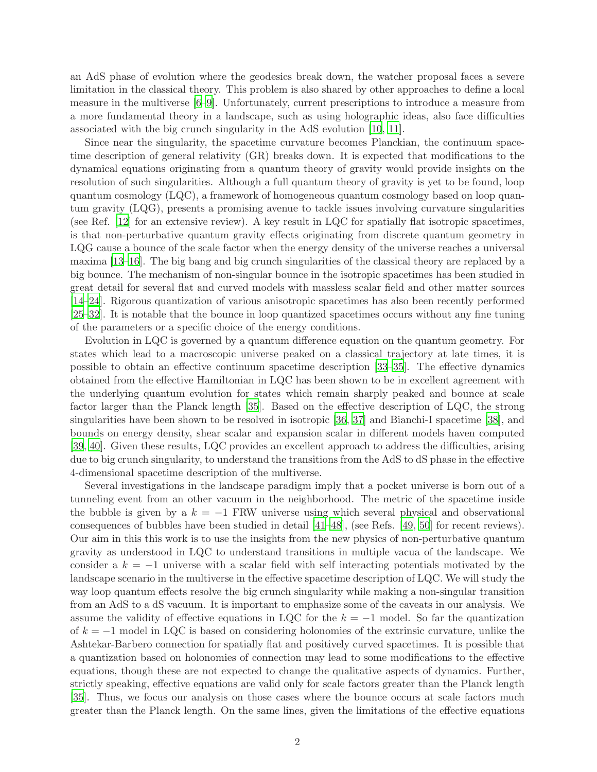an AdS phase of evolution where the geodesics break down, the watcher proposal faces a severe limitation in the classical theory. This problem is also shared by other approaches to define a local measure in the multiverse [\[6](#page-20-5)[–9](#page-20-6)]. Unfortunately, current prescriptions to introduce a measure from a more fundamental theory in a landscape, such as using holographic ideas, also face difficulties associated with the big crunch singularity in the AdS evolution [\[10,](#page-21-0) [11](#page-21-1)].

Since near the singularity, the spacetime curvature becomes Planckian, the continuum spacetime description of general relativity (GR) breaks down. It is expected that modifications to the dynamical equations originating from a quantum theory of gravity would provide insights on the resolution of such singularities. Although a full quantum theory of gravity is yet to be found, loop quantum cosmology (LQC), a framework of homogeneous quantum cosmology based on loop quantum gravity (LQG), presents a promising avenue to tackle issues involving curvature singularities (see Ref. [\[12\]](#page-21-2) for an extensive review). A key result in LQC for spatially flat isotropic spacetimes, is that non-perturbative quantum gravity effects originating from discrete quantum geometry in LQG cause a bounce of the scale factor when the energy density of the universe reaches a universal maxima [\[13](#page-21-3)[–16](#page-21-4)]. The big bang and big crunch singularities of the classical theory are replaced by a big bounce. The mechanism of non-singular bounce in the isotropic spacetimes has been studied in great detail for several flat and curved models with massless scalar field and other matter sources [\[14](#page-21-5)[–24](#page-21-6)]. Rigorous quantization of various anisotropic spacetimes has also been recently performed [\[25](#page-21-7)[–32](#page-21-8)]. It is notable that the bounce in loop quantized spacetimes occurs without any fine tuning of the parameters or a specific choice of the energy conditions.

Evolution in LQC is governed by a quantum difference equation on the quantum geometry. For states which lead to a macroscopic universe peaked on a classical trajectory at late times, it is possible to obtain an effective continuum spacetime description [\[33](#page-21-9)[–35](#page-21-10)]. The effective dynamics obtained from the effective Hamiltonian in LQC has been shown to be in excellent agreement with the underlying quantum evolution for states which remain sharply peaked and bounce at scale factor larger than the Planck length [\[35](#page-21-10)]. Based on the effective description of LQC, the strong singularities have been shown to be resolved in isotropic [\[36](#page-21-11), [37\]](#page-21-12) and Bianchi-I spacetime [\[38](#page-22-0)], and bounds on energy density, shear scalar and expansion scalar in different models haven computed [\[39,](#page-22-1) [40\]](#page-22-2). Given these results, LQC provides an excellent approach to address the difficulties, arising due to big crunch singularity, to understand the transitions from the AdS to dS phase in the effective 4-dimensional spacetime description of the multiverse.

Several investigations in the landscape paradigm imply that a pocket universe is born out of a tunneling event from an other vacuum in the neighborhood. The metric of the spacetime inside the bubble is given by a  $k = -1$  FRW universe using which several physical and observational consequences of bubbles have been studied in detail [\[41](#page-22-3)[–48](#page-22-4)], (see Refs. [\[49,](#page-22-5) [50](#page-22-6)] for recent reviews). Our aim in this this work is to use the insights from the new physics of non-perturbative quantum gravity as understood in LQC to understand transitions in multiple vacua of the landscape. We consider a  $k = -1$  universe with a scalar field with self interacting potentials motivated by the landscape scenario in the multiverse in the effective spacetime description of LQC. We will study the way loop quantum effects resolve the big crunch singularity while making a non-singular transition from an AdS to a dS vacuum. It is important to emphasize some of the caveats in our analysis. We assume the validity of effective equations in LQC for the  $k = -1$  model. So far the quantization of  $k = -1$  model in LQC is based on considering holonomies of the extrinsic curvature, unlike the Ashtekar-Barbero connection for spatially flat and positively curved spacetimes. It is possible that a quantization based on holonomies of connection may lead to some modifications to the effective equations, though these are not expected to change the qualitative aspects of dynamics. Further, strictly speaking, effective equations are valid only for scale factors greater than the Planck length [\[35\]](#page-21-10). Thus, we focus our analysis on those cases where the bounce occurs at scale factors much greater than the Planck length. On the same lines, given the limitations of the effective equations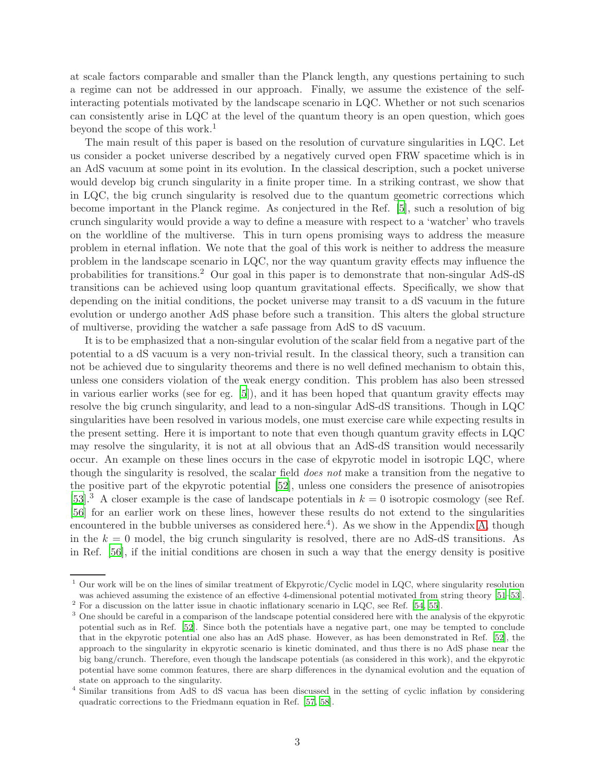at scale factors comparable and smaller than the Planck length, any questions pertaining to such a regime can not be addressed in our approach. Finally, we assume the existence of the selfinteracting potentials motivated by the landscape scenario in LQC. Whether or not such scenarios can consistently arise in LQC at the level of the quantum theory is an open question, which goes beyond the scope of this work.<sup>1</sup>

The main result of this paper is based on the resolution of curvature singularities in LQC. Let us consider a pocket universe described by a negatively curved open FRW spacetime which is in an AdS vacuum at some point in its evolution. In the classical description, such a pocket universe would develop big crunch singularity in a finite proper time. In a striking contrast, we show that in LQC, the big crunch singularity is resolved due to the quantum geometric corrections which become important in the Planck regime. As conjectured in the Ref. [\[5](#page-20-4)], such a resolution of big crunch singularity would provide a way to define a measure with respect to a 'watcher' who travels on the worldline of the multiverse. This in turn opens promising ways to address the measure problem in eternal inflation. We note that the goal of this work is neither to address the measure problem in the landscape scenario in LQC, nor the way quantum gravity effects may influence the probabilities for transitions.<sup>2</sup> Our goal in this paper is to demonstrate that non-singular AdS-dS transitions can be achieved using loop quantum gravitational effects. Specifically, we show that depending on the initial conditions, the pocket universe may transit to a dS vacuum in the future evolution or undergo another AdS phase before such a transition. This alters the global structure of multiverse, providing the watcher a safe passage from AdS to dS vacuum.

It is to be emphasized that a non-singular evolution of the scalar field from a negative part of the potential to a dS vacuum is a very non-trivial result. In the classical theory, such a transition can not be achieved due to singularity theorems and there is no well defined mechanism to obtain this, unless one considers violation of the weak energy condition. This problem has also been stressed in various earlier works (see for eg. [\[5](#page-20-4)]), and it has been hoped that quantum gravity effects may resolve the big crunch singularity, and lead to a non-singular AdS-dS transitions. Though in LQC singularities have been resolved in various models, one must exercise care while expecting results in the present setting. Here it is important to note that even though quantum gravity effects in LQC may resolve the singularity, it is not at all obvious that an AdS-dS transition would necessarily occur. An example on these lines occurs in the case of ekpyrotic model in isotropic LQC, where though the singularity is resolved, the scalar field *does not* make a transition from the negative to the positive part of the ekpyrotic potential [\[52\]](#page-22-7), unless one considers the presence of anisotropies [\[53\]](#page-22-8).<sup>3</sup> A closer example is the case of landscape potentials in  $k = 0$  isotropic cosmology (see Ref. [\[56\]](#page-22-9) for an earlier work on these lines, however these results do not extend to the singularities encountered in the bubble universes as considered here.<sup>4</sup>). As we show in the Appendix [A,](#page-19-0) though in the  $k = 0$  model, the big crunch singularity is resolved, there are no AdS-dS transitions. As in Ref. [\[56](#page-22-9)], if the initial conditions are chosen in such a way that the energy density is positive

 $1$  Our work will be on the lines of similar treatment of Ekpyrotic/Cyclic model in LQC, where singularity resolution was achieved assuming the existence of an effective 4-dimensional potential motivated from string theory [\[51](#page-22-10)[–53](#page-22-8)].  $^2$  For a discussion on the latter issue in chaotic inflationary scenario in LQC, see Ref. [\[54](#page-22-11), [55](#page-22-12)].

<sup>&</sup>lt;sup>3</sup> One should be careful in a comparison of the landscape potential considered here with the analysis of the ekpyrotic potential such as in Ref. [\[52](#page-22-7)]. Since both the potentials have a negative part, one may be tempted to conclude that in the ekpyrotic potential one also has an AdS phase. However, as has been demonstrated in Ref. [\[52\]](#page-22-7), the

approach to the singularity in ekpyrotic scenario is kinetic dominated, and thus there is no AdS phase near the big bang/crunch. Therefore, even though the landscape potentials (as considered in this work), and the ekpyrotic potential have some common features, there are sharp differences in the dynamical evolution and the equation of state on approach to the singularity.

<sup>4</sup> Similar transitions from AdS to dS vacua has been discussed in the setting of cyclic inflation by considering quadratic corrections to the Friedmann equation in Ref. [\[57](#page-22-13), [58\]](#page-22-14).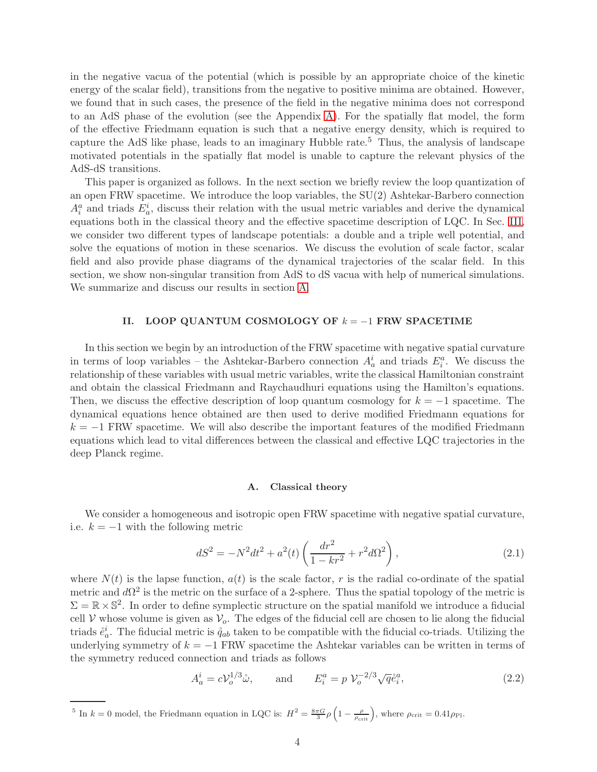in the negative vacua of the potential (which is possible by an appropriate choice of the kinetic energy of the scalar field), transitions from the negative to positive minima are obtained. However, we found that in such cases, the presence of the field in the negative minima does not correspond to an AdS phase of the evolution (see the Appendix [A\)](#page-19-0). For the spatially flat model, the form of the effective Friedmann equation is such that a negative energy density, which is required to capture the AdS like phase, leads to an imaginary Hubble rate. <sup>5</sup> Thus, the analysis of landscape motivated potentials in the spatially flat model is unable to capture the relevant physics of the AdS-dS transitions.

This paper is organized as follows. In the next section we briefly review the loop quantization of an open FRW spacetime. We introduce the loop variables, the SU(2) Ashtekar-Barbero connection  $A_i^a$  and triads  $E_a^i$ , discuss their relation with the usual metric variables and derive the dynamical equations both in the classical theory and the effective spacetime description of LQC. In Sec. [III,](#page-8-0) we consider two different types of landscape potentials: a double and a triple well potential, and solve the equations of motion in these scenarios. We discuss the evolution of scale factor, scalar field and also provide phase diagrams of the dynamical trajectories of the scalar field. In this section, we show non-singular transition from AdS to dS vacua with help of numerical simulations. We summarize and discuss our results in section [A.](#page-20-7)

### II. LOOP QUANTUM COSMOLOGY OF  $k = -1$  FRW SPACETIME

In this section we begin by an introduction of the FRW spacetime with negative spatial curvature in terms of loop variables – the Ashtekar-Barbero connection  $A_a^i$  and triads  $E_i^a$ . We discuss the relationship of these variables with usual metric variables, write the classical Hamiltonian constraint and obtain the classical Friedmann and Raychaudhuri equations using the Hamilton's equations. Then, we discuss the effective description of loop quantum cosmology for  $k = -1$  spacetime. The dynamical equations hence obtained are then used to derive modified Friedmann equations for  $k = -1$  FRW spacetime. We will also describe the important features of the modified Friedmann equations which lead to vital differences between the classical and effective LQC trajectories in the deep Planck regime.

#### A. Classical theory

We consider a homogeneous and isotropic open FRW spacetime with negative spatial curvature, i.e.  $k = -1$  with the following metric

$$
dS^{2} = -N^{2}dt^{2} + a^{2}(t)\left(\frac{dr^{2}}{1 - kr^{2}} + r^{2}d\Omega^{2}\right),
$$
\n(2.1)

where  $N(t)$  is the lapse function,  $a(t)$  is the scale factor, r is the radial co-ordinate of the spatial metric and  $d\Omega^2$  is the metric on the surface of a 2-sphere. Thus the spatial topology of the metric is  $\Sigma = \mathbb{R} \times \mathbb{S}^2$ . In order to define symplectic structure on the spatial manifold we introduce a fiducial cell V whose volume is given as  $V<sub>o</sub>$ . The edges of the fiducial cell are chosen to lie along the fiducial triads  $\mathring{e}_a^i$ . The fiducial metric is  $\mathring{q}_{ab}$  taken to be compatible with the fiducial co-triads. Utilizing the underlying symmetry of  $k = -1$  FRW spacetime the Ashtekar variables can be written in terms of the symmetry reduced connection and triads as follows

$$
A_a^i = cV_o^{1/3}\mathring{\omega}, \qquad \text{and} \qquad E_i^a = p \; V_o^{-2/3} \sqrt{q} \mathring{e}_i^a, \tag{2.2}
$$

<sup>5</sup> In  $k = 0$  model, the Friedmann equation in LQC is:  $H^2 = \frac{8\pi G}{3} \rho \left(1 - \frac{\rho}{\rho_{\text{crit}}}\right)$ , where  $\rho_{\text{crit}} = 0.41 \rho_{\text{Pl}}$ .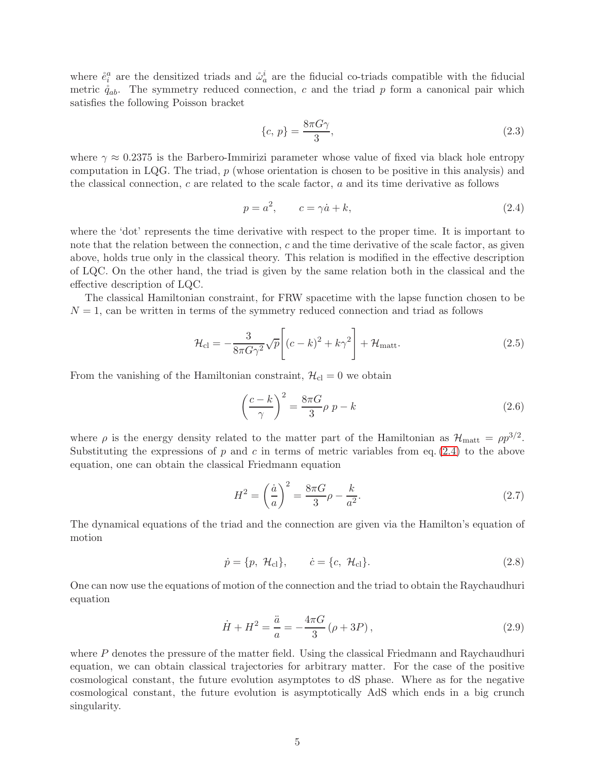where  $\hat{e}_i^a$  are the densitized triads and  $\mathring{\omega}_a^i$  are the fiducial co-triads compatible with the fiducial metric  $\mathring{q}_{ab}$ . The symmetry reduced connection, c and the triad p form a canonical pair which satisfies the following Poisson bracket

$$
\{c, p\} = \frac{8\pi G\gamma}{3},\tag{2.3}
$$

where  $\gamma \approx 0.2375$  is the Barbero-Immirizi parameter whose value of fixed via black hole entropy computation in LQG. The triad,  $p$  (whose orientation is chosen to be positive in this analysis) and the classical connection,  $c$  are related to the scale factor,  $a$  and its time derivative as follows

<span id="page-5-0"></span>
$$
p = a^2, \qquad c = \gamma \dot{a} + k,\tag{2.4}
$$

where the 'dot' represents the time derivative with respect to the proper time. It is important to note that the relation between the connection, c and the time derivative of the scale factor, as given above, holds true only in the classical theory. This relation is modified in the effective description of LQC. On the other hand, the triad is given by the same relation both in the classical and the effective description of LQC.

The classical Hamiltonian constraint, for FRW spacetime with the lapse function chosen to be  $N = 1$ , can be written in terms of the symmetry reduced connection and triad as follows

$$
\mathcal{H}_{\rm cl} = -\frac{3}{8\pi G\gamma^2} \sqrt{p} \left[ (c-k)^2 + k\gamma^2 \right] + \mathcal{H}_{\rm matt}.
$$
\n(2.5)

From the vanishing of the Hamiltonian constraint,  $\mathcal{H}_{\text{cl}} = 0$  we obtain

$$
\left(\frac{c-k}{\gamma}\right)^2 = \frac{8\pi G}{3}\rho \ p - k \tag{2.6}
$$

where  $\rho$  is the energy density related to the matter part of the Hamiltonian as  $\mathcal{H}_{\text{matt}} = \rho p^{3/2}$ . Substituting the expressions of p and c in terms of metric variables from eq.  $(2.4)$  to the above equation, one can obtain the classical Friedmann equation

$$
H^{2} = \left(\frac{\dot{a}}{a}\right)^{2} = \frac{8\pi G}{3}\rho - \frac{k}{a^{2}}.
$$
 (2.7)

The dynamical equations of the triad and the connection are given via the Hamilton's equation of motion

$$
\dot{p} = \{p, \mathcal{H}_{\text{cl}}\}, \qquad \dot{c} = \{c, \mathcal{H}_{\text{cl}}\}.
$$
\n(2.8)

One can now use the equations of motion of the connection and the triad to obtain the Raychaudhuri equation

$$
\dot{H} + H^2 = \frac{\ddot{a}}{a} = -\frac{4\pi G}{3} (\rho + 3P), \qquad (2.9)
$$

where  $P$  denotes the pressure of the matter field. Using the classical Friedmann and Raychaudhuri equation, we can obtain classical trajectories for arbitrary matter. For the case of the positive cosmological constant, the future evolution asymptotes to dS phase. Where as for the negative cosmological constant, the future evolution is asymptotically AdS which ends in a big crunch singularity.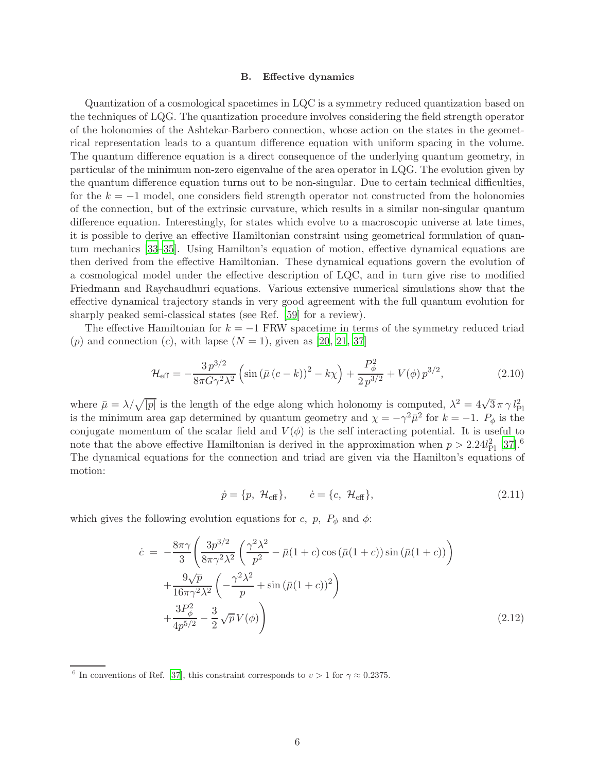#### B. Effective dynamics

Quantization of a cosmological spacetimes in LQC is a symmetry reduced quantization based on the techniques of LQG. The quantization procedure involves considering the field strength operator of the holonomies of the Ashtekar-Barbero connection, whose action on the states in the geometrical representation leads to a quantum difference equation with uniform spacing in the volume. The quantum difference equation is a direct consequence of the underlying quantum geometry, in particular of the minimum non-zero eigenvalue of the area operator in LQG. The evolution given by the quantum difference equation turns out to be non-singular. Due to certain technical difficulties, for the  $k = -1$  model, one considers field strength operator not constructed from the holonomies of the connection, but of the extrinsic curvature, which results in a similar non-singular quantum difference equation. Interestingly, for states which evolve to a macroscopic universe at late times, it is possible to derive an effective Hamiltonian constraint using geometrical formulation of quantum mechanics [\[33](#page-21-9)[–35](#page-21-10)]. Using Hamilton's equation of motion, effective dynamical equations are then derived from the effective Hamiltonian. These dynamical equations govern the evolution of a cosmological model under the effective description of LQC, and in turn give rise to modified Friedmann and Raychaudhuri equations. Various extensive numerical simulations show that the effective dynamical trajectory stands in very good agreement with the full quantum evolution for sharply peaked semi-classical states (see Ref. [\[59](#page-22-15)] for a review).

The effective Hamiltonian for  $k = -1$  FRW spacetime in terms of the symmetry reduced triad (p) and connection (c), with lapse  $(N = 1)$ , given as [\[20](#page-21-13), [21,](#page-21-14) [37](#page-21-12)]

<span id="page-6-0"></span>
$$
\mathcal{H}_{\text{eff}} = -\frac{3 \, p^{3/2}}{8\pi G \gamma^2 \lambda^2} \left( \sin \left( \bar{\mu} \left( c - k \right) \right)^2 - k \chi \right) + \frac{P_\phi^2}{2 \, p^{3/2}} + V(\phi) \, p^{3/2},\tag{2.10}
$$

where  $\bar{\mu} = \lambda/\sqrt{|p|}$  is the length of the edge along which holonomy is computed,  $\lambda^2 = 4\sqrt{3}\,\pi\,\gamma l_F^2$ where  $\mu = \lambda / \sqrt{|\mu|}$  is the length of the edge along which holohomy is computed,  $\lambda = 4\sqrt{3} \lambda / \sqrt{|\mu|}$ <br>is the minimum area gap determined by quantum geometry and  $\chi = -\gamma^2 \bar{\mu}^2$  for  $k = -1$ .  $P_{\phi}$  is the conjugate momentum of the scalar field and  $V(\phi)$  is the self interacting potential. It is useful to note that the above effective Hamiltonian is derived in the approximation when  $p > 2.24 l_{\rm Pl}^2$  [\[37](#page-21-12)].<sup>6</sup> The dynamical equations for the connection and triad are given via the Hamilton's equations of motion:

$$
\dot{p} = \{p, \, \mathcal{H}_{\text{eff}}\}, \qquad \dot{c} = \{c, \, \mathcal{H}_{\text{eff}}\}, \tag{2.11}
$$

which gives the following evolution equations for c, p,  $P_{\phi}$  and  $\phi$ :

<span id="page-6-1"></span>
$$
\dot{c} = -\frac{8\pi\gamma}{3} \left( \frac{3p^{3/2}}{8\pi\gamma^2\lambda^2} \left( \frac{\gamma^2\lambda^2}{p^2} - \bar{\mu}(1+c) \cos(\bar{\mu}(1+c)) \sin(\bar{\mu}(1+c)) \right) + \frac{9\sqrt{p}}{16\pi\gamma^2\lambda^2} \left( -\frac{\gamma^2\lambda^2}{p} + \sin(\bar{\mu}(1+c))^2 \right) + \frac{3P_\phi^2}{4p^{5/2}} - \frac{3}{2}\sqrt{p}V(\phi) \right)
$$
\n(2.12)

<sup>&</sup>lt;sup>6</sup> In conventions of Ref. [\[37](#page-21-12)], this constraint corresponds to  $v > 1$  for  $\gamma \approx 0.2375$ .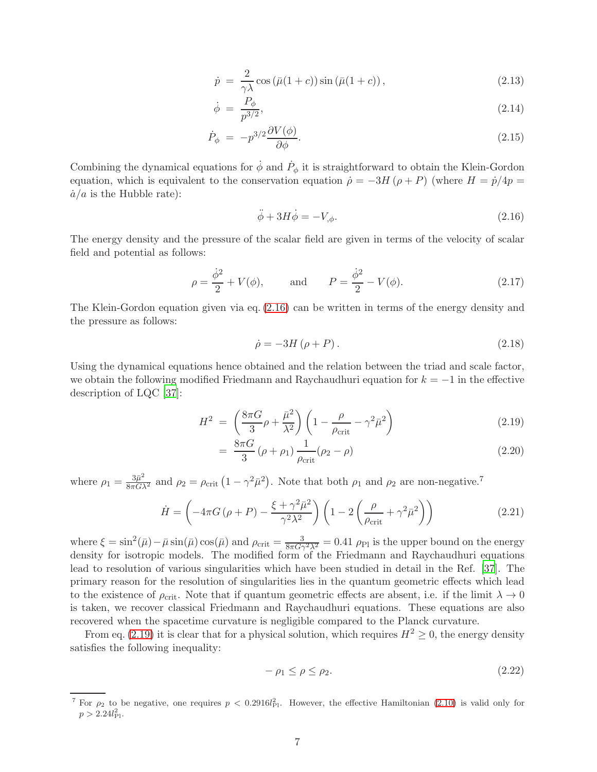<span id="page-7-3"></span>
$$
\dot{p} = \frac{2}{\gamma \lambda} \cos \left( \bar{\mu} (1 + c) \right) \sin \left( \bar{\mu} (1 + c) \right), \tag{2.13}
$$

$$
\dot{\phi} = \frac{P_{\phi}}{p^{3/2}},\tag{2.14}
$$

$$
\dot{P}_{\phi} = -p^{3/2} \frac{\partial V(\phi)}{\partial \phi}.
$$
\n(2.15)

Combining the dynamical equations for  $\dot{\phi}$  and  $\dot{P}_{\phi}$  it is straightforward to obtain the Klein-Gordon equation, which is equivalent to the conservation equation  $\dot{\rho} = -3H(\rho + P)$  (where  $H = \dot{p}/4p =$  $\dot{a}/a$  is the Hubble rate):

<span id="page-7-0"></span>
$$
\ddot{\phi} + 3H\dot{\phi} = -V_{,\phi}.\tag{2.16}
$$

The energy density and the pressure of the scalar field are given in terms of the velocity of scalar field and potential as follows:

$$
\rho = \frac{\dot{\phi}^2}{2} + V(\phi),
$$
 and  $P = \frac{\dot{\phi}^2}{2} - V(\phi).$  (2.17)

The Klein-Gordon equation given via eq. [\(2.16\)](#page-7-0) can be written in terms of the energy density and the pressure as follows:

<span id="page-7-2"></span>
$$
\dot{\rho} = -3H\left(\rho + P\right). \tag{2.18}
$$

Using the dynamical equations hence obtained and the relation between the triad and scale factor, we obtain the following modified Friedmann and Raychaudhuri equation for  $k = -1$  in the effective description of LQC [\[37](#page-21-12)]:

<span id="page-7-1"></span>
$$
H^2 = \left(\frac{8\pi G}{3}\rho + \frac{\bar{\mu}^2}{\lambda^2}\right) \left(1 - \frac{\rho}{\rho_{\rm crit}} - \gamma^2 \bar{\mu}^2\right) \tag{2.19}
$$

$$
= \frac{8\pi G}{3} (\rho + \rho_1) \frac{1}{\rho_{\text{crit}}} (\rho_2 - \rho) \tag{2.20}
$$

where  $\rho_1 = \frac{3\bar{\mu}^2}{8\pi G\lambda^2}$  and  $\rho_2 = \rho_{\rm crit} (1 - \gamma^2 \bar{\mu}^2)$ . Note that both  $\rho_1$  and  $\rho_2$  are non-negative.<sup>7</sup>

$$
\dot{H} = \left(-4\pi G\left(\rho + P\right) - \frac{\xi + \gamma^2 \bar{\mu}^2}{\gamma^2 \lambda^2}\right) \left(1 - 2\left(\frac{\rho}{\rho_{\rm crit}} + \gamma^2 \bar{\mu}^2\right)\right) \tag{2.21}
$$

where  $\xi = \sin^2(\bar{\mu}) - \bar{\mu} \sin(\bar{\mu}) \cos(\bar{\mu})$  and  $\rho_{\rm crit} = \frac{3}{8\pi G \gamma^2 \lambda^2} = 0.41 \rho_{\rm Pl}$  is the upper bound on the energy density for isotropic models. The modified form of the Friedmann and Raychaudhuri equations lead to resolution of various singularities which have been studied in detail in the Ref. [\[37](#page-21-12)]. The primary reason for the resolution of singularities lies in the quantum geometric effects which lead to the existence of  $\rho_{\rm crit}$ . Note that if quantum geometric effects are absent, i.e. if the limit  $\lambda \to 0$ is taken, we recover classical Friedmann and Raychaudhuri equations. These equations are also recovered when the spacetime curvature is negligible compared to the Planck curvature.

From eq. [\(2.19\)](#page-7-1) it is clear that for a physical solution, which requires  $H^2 \geq 0$ , the energy density satisfies the following inequality:

$$
-\rho_1 \le \rho \le \rho_2. \tag{2.22}
$$

<sup>&</sup>lt;sup>7</sup> For  $\rho_2$  to be negative, one requires  $p < 0.2916 l_{\rm Pl}^2$ . However, the effective Hamiltonian [\(2.10\)](#page-6-0) is valid only for  $p > 2.24 l_{\rm Pl}^2$ .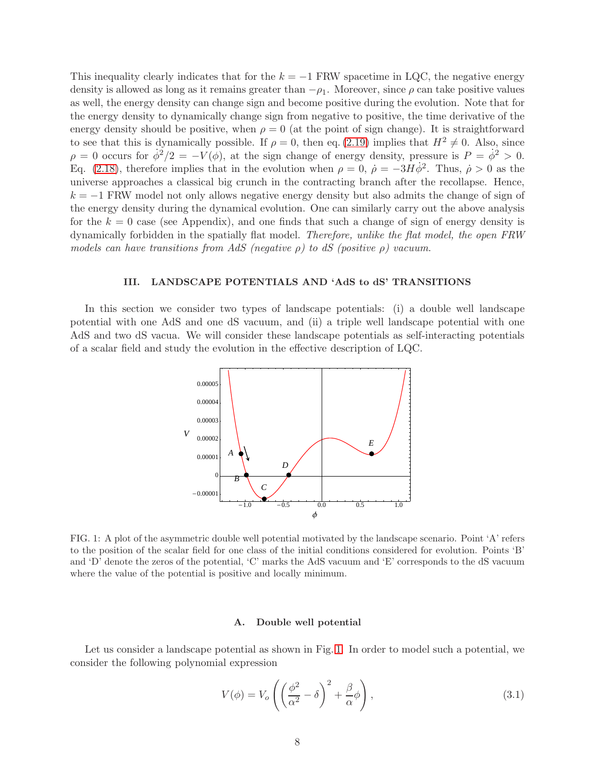This inequality clearly indicates that for the  $k = -1$  FRW spacetime in LQC, the negative energy density is allowed as long as it remains greater than  $-\rho_1$ . Moreover, since  $\rho$  can take positive values as well, the energy density can change sign and become positive during the evolution. Note that for the energy density to dynamically change sign from negative to positive, the time derivative of the energy density should be positive, when  $\rho = 0$  (at the point of sign change). It is straightforward to see that this is dynamically possible. If  $\rho = 0$ , then eq. [\(2.19\)](#page-7-1) implies that  $H^2 \neq 0$ . Also, since  $\rho = 0$  occurs for  $\dot{\phi}^2/2 = -V(\phi)$ , at the sign change of energy density, pressure is  $P = \dot{\phi}^2 > 0$ . Eq. [\(2.18\)](#page-7-2), therefore implies that in the evolution when  $\rho = 0$ ,  $\dot{\rho} = -3H\dot{\phi}^2$ . Thus,  $\dot{\rho} > 0$  as the universe approaches a classical big crunch in the contracting branch after the recollapse. Hence,  $k = -1$  FRW model not only allows negative energy density but also admits the change of sign of the energy density during the dynamical evolution. One can similarly carry out the above analysis for the  $k = 0$  case (see Appendix), and one finds that such a change of sign of energy density is dynamically forbidden in the spatially flat model. Therefore, unlike the flat model, the open FRW models can have transitions from AdS (negative  $\rho$ ) to dS (positive  $\rho$ ) vacuum.

#### <span id="page-8-0"></span>III. LANDSCAPE POTENTIALS AND 'AdS to dS' TRANSITIONS

In this section we consider two types of landscape potentials: (i) a double well landscape potential with one AdS and one dS vacuum, and (ii) a triple well landscape potential with one AdS and two dS vacua. We will consider these landscape potentials as self-interacting potentials of a scalar field and study the evolution in the effective description of LQC.



<span id="page-8-1"></span>FIG. 1: A plot of the asymmetric double well potential motivated by the landscape scenario. Point 'A' refers to the position of the scalar field for one class of the initial conditions considered for evolution. Points 'B' and 'D' denote the zeros of the potential, 'C' marks the AdS vacuum and 'E' corresponds to the dS vacuum where the value of the potential is positive and locally minimum.

#### A. Double well potential

Let us consider a landscape potential as shown in Fig. [1.](#page-8-1) In order to model such a potential, we consider the following polynomial expression

<span id="page-8-2"></span>
$$
V(\phi) = V_o \left( \left( \frac{\phi^2}{\alpha^2} - \delta \right)^2 + \frac{\beta}{\alpha} \phi \right),\tag{3.1}
$$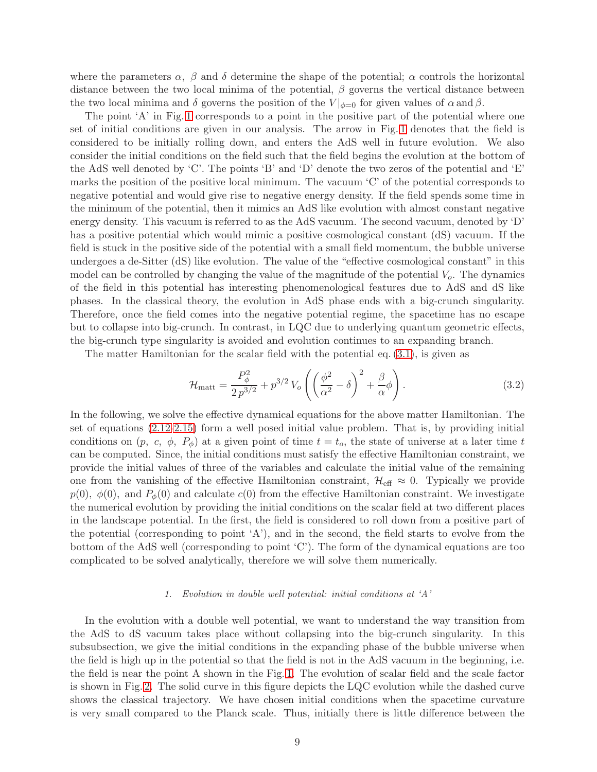where the parameters  $\alpha$ ,  $\beta$  and  $\delta$  determine the shape of the potential;  $\alpha$  controls the horizontal distance between the two local minima of the potential,  $\beta$  governs the vertical distance between the two local minima and  $\delta$  governs the position of the  $V|_{\phi=0}$  for given values of  $\alpha$  and  $\beta$ .

The point 'A' in Fig. [1](#page-8-1) corresponds to a point in the positive part of the potential where one set of initial conditions are given in our analysis. The arrow in Fig. [1](#page-8-1) denotes that the field is considered to be initially rolling down, and enters the AdS well in future evolution. We also consider the initial conditions on the field such that the field begins the evolution at the bottom of the AdS well denoted by 'C'. The points 'B' and 'D' denote the two zeros of the potential and 'E' marks the position of the positive local minimum. The vacuum 'C' of the potential corresponds to negative potential and would give rise to negative energy density. If the field spends some time in the minimum of the potential, then it mimics an AdS like evolution with almost constant negative energy density. This vacuum is referred to as the AdS vacuum. The second vacuum, denoted by 'D' has a positive potential which would mimic a positive cosmological constant (dS) vacuum. If the field is stuck in the positive side of the potential with a small field momentum, the bubble universe undergoes a de-Sitter (dS) like evolution. The value of the "effective cosmological constant" in this model can be controlled by changing the value of the magnitude of the potential  $V<sub>o</sub>$ . The dynamics of the field in this potential has interesting phenomenological features due to AdS and dS like phases. In the classical theory, the evolution in AdS phase ends with a big-crunch singularity. Therefore, once the field comes into the negative potential regime, the spacetime has no escape but to collapse into big-crunch. In contrast, in LQC due to underlying quantum geometric effects, the big-crunch type singularity is avoided and evolution continues to an expanding branch.

The matter Hamiltonian for the scalar field with the potential eq. [\(3.1\)](#page-8-2), is given as

$$
\mathcal{H}_{\text{matt}} = \frac{P_{\phi}^2}{2 p^{3/2}} + p^{3/2} V_o \left( \left( \frac{\phi^2}{\alpha^2} - \delta \right)^2 + \frac{\beta}{\alpha} \phi \right). \tag{3.2}
$$

In the following, we solve the effective dynamical equations for the above matter Hamiltonian. The set of equations [\(2.12-](#page-6-1)[2.15\)](#page-7-3) form a well posed initial value problem. That is, by providing initial conditions on  $(p, c, \phi, P_{\phi})$  at a given point of time  $t = t_o$ , the state of universe at a later time t can be computed. Since, the initial conditions must satisfy the effective Hamiltonian constraint, we provide the initial values of three of the variables and calculate the initial value of the remaining one from the vanishing of the effective Hamiltonian constraint,  $\mathcal{H}_{\text{eff}} \approx 0$ . Typically we provide  $p(0), \phi(0),$  and  $P_{\phi}(0)$  and calculate  $c(0)$  from the effective Hamiltonian constraint. We investigate the numerical evolution by providing the initial conditions on the scalar field at two different places in the landscape potential. In the first, the field is considered to roll down from a positive part of the potential (corresponding to point  $\langle A \rangle$ ), and in the second, the field starts to evolve from the bottom of the AdS well (corresponding to point 'C'). The form of the dynamical equations are too complicated to be solved analytically, therefore we will solve them numerically.

#### 1. Evolution in double well potential: initial conditions at 'A'

In the evolution with a double well potential, we want to understand the way transition from the AdS to dS vacuum takes place without collapsing into the big-crunch singularity. In this subsubsection, we give the initial conditions in the expanding phase of the bubble universe when the field is high up in the potential so that the field is not in the AdS vacuum in the beginning, i.e. the field is near the point A shown in the Fig. [1.](#page-8-1) The evolution of scalar field and the scale factor is shown in Fig. [2.](#page-10-0) The solid curve in this figure depicts the LQC evolution while the dashed curve shows the classical trajectory. We have chosen initial conditions when the spacetime curvature is very small compared to the Planck scale. Thus, initially there is little difference between the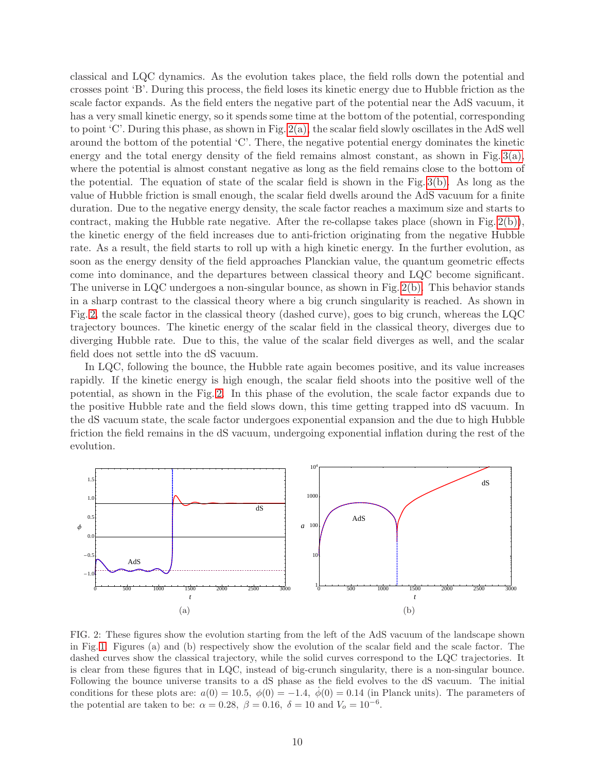classical and LQC dynamics. As the evolution takes place, the field rolls down the potential and crosses point 'B'. During this process, the field loses its kinetic energy due to Hubble friction as the scale factor expands. As the field enters the negative part of the potential near the AdS vacuum, it has a very small kinetic energy, so it spends some time at the bottom of the potential, corresponding to point 'C'. During this phase, as shown in Fig.  $2(a)$ , the scalar field slowly oscillates in the AdS well around the bottom of the potential 'C'. There, the negative potential energy dominates the kinetic energy and the total energy density of the field remains almost constant, as shown in Fig.  $3(a)$ , where the potential is almost constant negative as long as the field remains close to the bottom of the potential. The equation of state of the scalar field is shown in the Fig. [3\(b\).](#page-11-1) As long as the value of Hubble friction is small enough, the scalar field dwells around the AdS vacuum for a finite duration. Due to the negative energy density, the scale factor reaches a maximum size and starts to contract, making the Hubble rate negative. After the re-collapse takes place (shown in Fig.  $2(b)$ ), the kinetic energy of the field increases due to anti-friction originating from the negative Hubble rate. As a result, the field starts to roll up with a high kinetic energy. In the further evolution, as soon as the energy density of the field approaches Planckian value, the quantum geometric effects come into dominance, and the departures between classical theory and LQC become significant. The universe in LQC undergoes a non-singular bounce, as shown in Fig. [2\(b\).](#page-10-2) This behavior stands in a sharp contrast to the classical theory where a big crunch singularity is reached. As shown in Fig. [2,](#page-10-0) the scale factor in the classical theory (dashed curve), goes to big crunch, whereas the LQC trajectory bounces. The kinetic energy of the scalar field in the classical theory, diverges due to diverging Hubble rate. Due to this, the value of the scalar field diverges as well, and the scalar field does not settle into the dS vacuum.

In LQC, following the bounce, the Hubble rate again becomes positive, and its value increases rapidly. If the kinetic energy is high enough, the scalar field shoots into the positive well of the potential, as shown in the Fig. [2.](#page-10-0) In this phase of the evolution, the scale factor expands due to the positive Hubble rate and the field slows down, this time getting trapped into dS vacuum. In the dS vacuum state, the scale factor undergoes exponential expansion and the due to high Hubble friction the field remains in the dS vacuum, undergoing exponential inflation during the rest of the evolution.

<span id="page-10-1"></span>

<span id="page-10-2"></span><span id="page-10-0"></span>FIG. 2: These figures show the evolution starting from the left of the AdS vacuum of the landscape shown in Fig. [1.](#page-8-1) Figures (a) and (b) respectively show the evolution of the scalar field and the scale factor. The dashed curves show the classical trajectory, while the solid curves correspond to the LQC trajectories. It is clear from these figures that in LQC, instead of big-crunch singularity, there is a non-singular bounce. Following the bounce universe transits to a dS phase as the field evolves to the dS vacuum. The initial conditions for these plots are:  $a(0) = 10.5$ ,  $\phi(0) = -1.4$ ,  $\phi(0) = 0.14$  (in Planck units). The parameters of the potential are taken to be:  $\alpha = 0.28$ ,  $\beta = 0.16$ ,  $\delta = 10$  and  $V_o = 10^{-6}$ .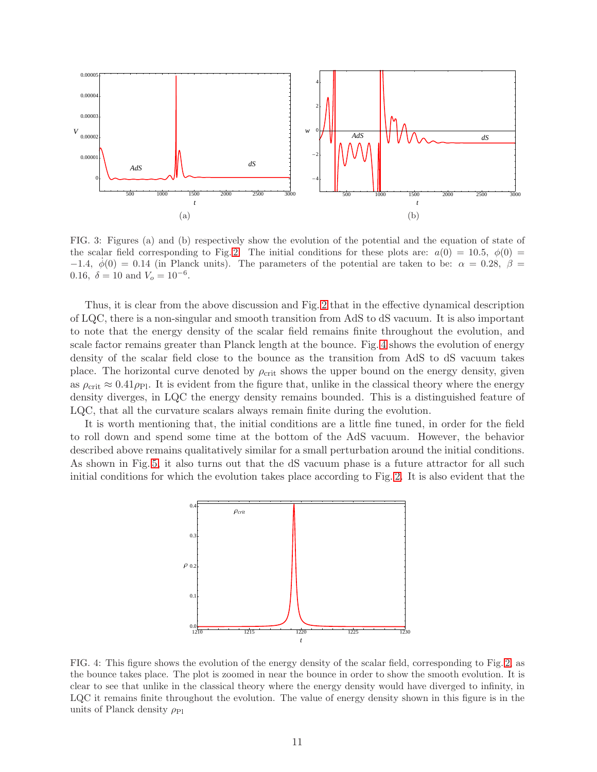<span id="page-11-0"></span>

<span id="page-11-1"></span>FIG. 3: Figures (a) and (b) respectively show the evolution of the potential and the equation of state of the scalar field corresponding to Fig. [2.](#page-10-0) The initial conditions for these plots are:  $a(0) = 10.5$ ,  $\phi(0) =$  $-1.4, \phi(0) = 0.14$  (in Planck units). The parameters of the potential are taken to be:  $\alpha = 0.28, \beta =$ 0.16,  $\delta = 10$  and  $V_o = 10^{-6}$ .

Thus, it is clear from the above discussion and Fig. [2](#page-10-0) that in the effective dynamical description of LQC, there is a non-singular and smooth transition from AdS to dS vacuum. It is also important to note that the energy density of the scalar field remains finite throughout the evolution, and scale factor remains greater than Planck length at the bounce. Fig. [4](#page-11-2) shows the evolution of energy density of the scalar field close to the bounce as the transition from AdS to dS vacuum takes place. The horizontal curve denoted by  $\rho_{\rm crit}$  shows the upper bound on the energy density, given as  $\rho_{\rm crit} \approx 0.41 \rho_{\rm Pl}$ . It is evident from the figure that, unlike in the classical theory where the energy density diverges, in LQC the energy density remains bounded. This is a distinguished feature of LQC, that all the curvature scalars always remain finite during the evolution.

It is worth mentioning that, the initial conditions are a little fine tuned, in order for the field to roll down and spend some time at the bottom of the AdS vacuum. However, the behavior described above remains qualitatively similar for a small perturbation around the initial conditions. As shown in Fig. [5,](#page-12-0) it also turns out that the dS vacuum phase is a future attractor for all such initial conditions for which the evolution takes place according to Fig. [2.](#page-10-0) It is also evident that the



<span id="page-11-2"></span>FIG. 4: This figure shows the evolution of the energy density of the scalar field, corresponding to Fig. [2,](#page-10-0) as the bounce takes place. The plot is zoomed in near the bounce in order to show the smooth evolution. It is clear to see that unlike in the classical theory where the energy density would have diverged to infinity, in LQC it remains finite throughout the evolution. The value of energy density shown in this figure is in the units of Planck density  $\rho_{\text{Pl}}$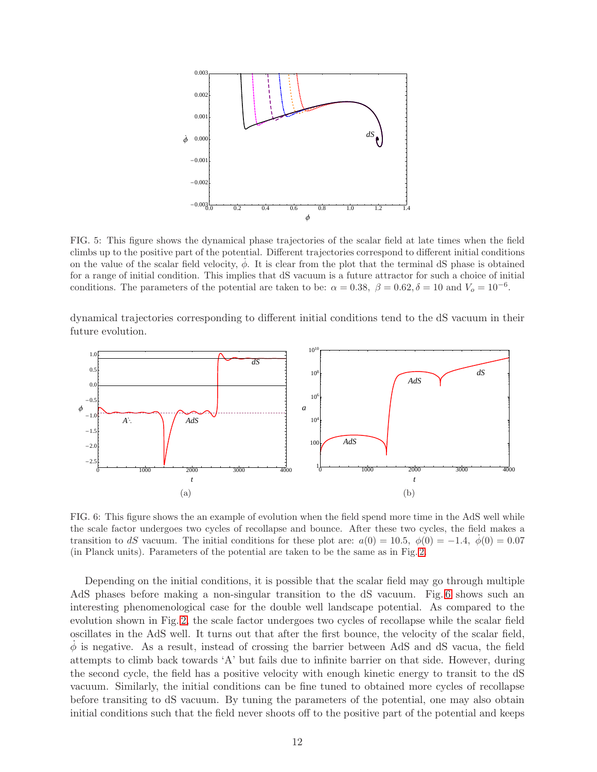

<span id="page-12-0"></span>FIG. 5: This figure shows the dynamical phase trajectories of the scalar field at late times when the field climbs up to the positive part of the potential. Different trajectories correspond to different initial conditions on the value of the scalar field velocity,  $\dot{\phi}$ . It is clear from the plot that the terminal dS phase is obtained for a range of initial condition. This implies that dS vacuum is a future attractor for such a choice of initial conditions. The parameters of the potential are taken to be:  $\alpha = 0.38$ ,  $\beta = 0.62$ ,  $\delta = 10$  and  $V_o = 10^{-6}$ .

dynamical trajectories corresponding to different initial conditions tend to the dS vacuum in their future evolution.



<span id="page-12-1"></span>FIG. 6: This figure shows the an example of evolution when the field spend more time in the AdS well while the scale factor undergoes two cycles of recollapse and bounce. After these two cycles, the field makes a transition to dS vacuum. The initial conditions for these plot are:  $a(0) = 10.5$ ,  $\phi(0) = -1.4$ ,  $\phi(0) = 0.07$ (in Planck units). Parameters of the potential are taken to be the same as in Fig. [2.](#page-10-0)

Depending on the initial conditions, it is possible that the scalar field may go through multiple AdS phases before making a non-singular transition to the dS vacuum. Fig. [6](#page-12-1) shows such an interesting phenomenological case for the double well landscape potential. As compared to the evolution shown in Fig. [2,](#page-10-0) the scale factor undergoes two cycles of recollapse while the scalar field oscillates in the AdS well. It turns out that after the first bounce, the velocity of the scalar field,  $\dot{\phi}$  is negative. As a result, instead of crossing the barrier between AdS and dS vacua, the field attempts to climb back towards 'A' but fails due to infinite barrier on that side. However, during the second cycle, the field has a positive velocity with enough kinetic energy to transit to the dS vacuum. Similarly, the initial conditions can be fine tuned to obtained more cycles of recollapse before transiting to dS vacuum. By tuning the parameters of the potential, one may also obtain initial conditions such that the field never shoots off to the positive part of the potential and keeps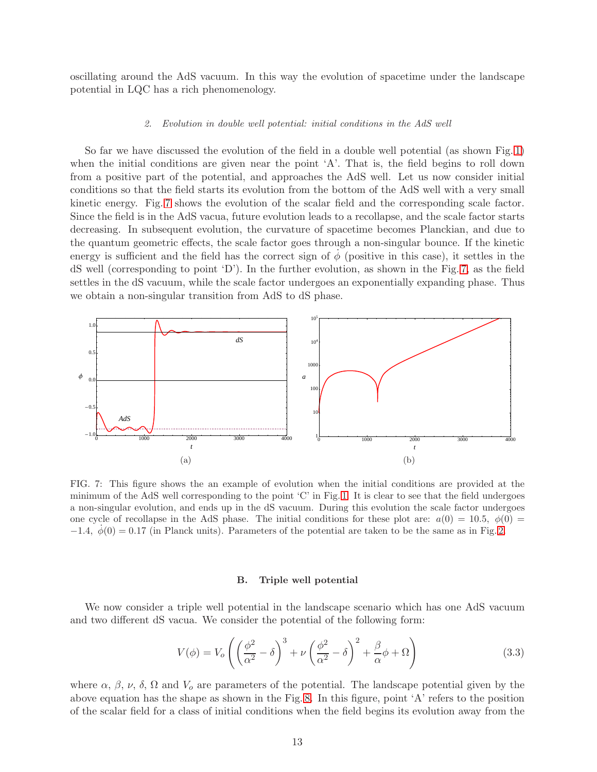oscillating around the AdS vacuum. In this way the evolution of spacetime under the landscape potential in LQC has a rich phenomenology.

#### 2. Evolution in double well potential: initial conditions in the AdS well

So far we have discussed the evolution of the field in a double well potential (as shown Fig. [1\)](#page-8-1) when the initial conditions are given near the point 'A'. That is, the field begins to roll down from a positive part of the potential, and approaches the AdS well. Let us now consider initial conditions so that the field starts its evolution from the bottom of the AdS well with a very small kinetic energy. Fig. [7](#page-13-0) shows the evolution of the scalar field and the corresponding scale factor. Since the field is in the AdS vacua, future evolution leads to a recollapse, and the scale factor starts decreasing. In subsequent evolution, the curvature of spacetime becomes Planckian, and due to the quantum geometric effects, the scale factor goes through a non-singular bounce. If the kinetic energy is sufficient and the field has the correct sign of  $\phi$  (positive in this case), it settles in the dS well (corresponding to point 'D'). In the further evolution, as shown in the Fig. [7,](#page-13-0) as the field settles in the dS vacuum, while the scale factor undergoes an exponentially expanding phase. Thus we obtain a non-singular transition from AdS to dS phase.



<span id="page-13-0"></span>FIG. 7: This figure shows the an example of evolution when the initial conditions are provided at the minimum of the AdS well corresponding to the point 'C' in Fig. [1.](#page-8-1) It is clear to see that the field undergoes a non-singular evolution, and ends up in the dS vacuum. During this evolution the scale factor undergoes one cycle of recollapse in the AdS phase. The initial conditions for these plot are:  $a(0) = 10.5, \phi(0) =$  $-1.4, \phi(0) = 0.17$  (in Planck units). Parameters of the potential are taken to be the same as in Fig. [2.](#page-10-0)

#### B. Triple well potential

We now consider a triple well potential in the landscape scenario which has one AdS vacuum and two different dS vacua. We consider the potential of the following form:

<span id="page-13-1"></span>
$$
V(\phi) = V_o \left( \left( \frac{\phi^2}{\alpha^2} - \delta \right)^3 + \nu \left( \frac{\phi^2}{\alpha^2} - \delta \right)^2 + \frac{\beta}{\alpha} \phi + \Omega \right)
$$
 (3.3)

where  $\alpha$ ,  $\beta$ ,  $\nu$ ,  $\delta$ ,  $\Omega$  and  $V_o$  are parameters of the potential. The landscape potential given by the above equation has the shape as shown in the Fig. [8.](#page-14-0) In this figure, point 'A' refers to the position of the scalar field for a class of initial conditions when the field begins its evolution away from the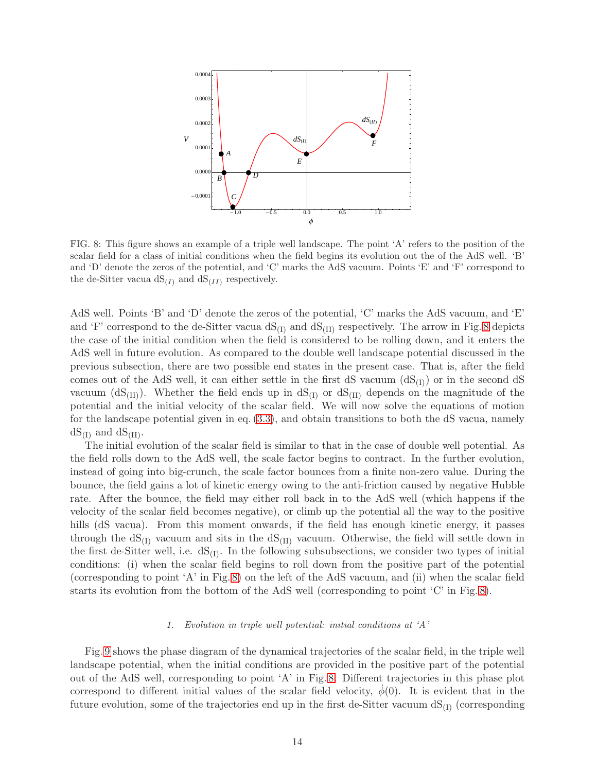

<span id="page-14-0"></span>FIG. 8: This figure shows an example of a triple well landscape. The point 'A' refers to the position of the scalar field for a class of initial conditions when the field begins its evolution out the of the AdS well. 'B' and 'D' denote the zeros of the potential, and 'C' marks the AdS vacuum. Points 'E' and 'F' correspond to the de-Sitter vacua  $dS_{(I)}$  and  $dS_{(II)}$  respectively.

AdS well. Points 'B' and 'D' denote the zeros of the potential, 'C' marks the AdS vacuum, and 'E' and 'F' correspond to the de-Sitter vacua  $dS_{(I)}$  and  $dS_{(II)}$  respectively. The arrow in Fig. [8](#page-14-0) depicts the case of the initial condition when the field is considered to be rolling down, and it enters the AdS well in future evolution. As compared to the double well landscape potential discussed in the previous subsection, there are two possible end states in the present case. That is, after the field comes out of the AdS well, it can either settle in the first dS vacuum  $(dS_{(I)})$  or in the second dS vacuum  $(dS_{(II)})$ . Whether the field ends up in  $dS_{(I)}$  or  $dS_{(II)}$  depends on the magnitude of the potential and the initial velocity of the scalar field. We will now solve the equations of motion for the landscape potential given in eq. [\(3.3\)](#page-13-1), and obtain transitions to both the dS vacua, namely  $dS_{(I)}$  and  $dS_{(II)}$ .

The initial evolution of the scalar field is similar to that in the case of double well potential. As the field rolls down to the AdS well, the scale factor begins to contract. In the further evolution, instead of going into big-crunch, the scale factor bounces from a finite non-zero value. During the bounce, the field gains a lot of kinetic energy owing to the anti-friction caused by negative Hubble rate. After the bounce, the field may either roll back in to the AdS well (which happens if the velocity of the scalar field becomes negative), or climb up the potential all the way to the positive hills (dS vacua). From this moment onwards, if the field has enough kinetic energy, it passes through the  $dS_{(I)}$  vacuum and sits in the  $dS_{(II)}$  vacuum. Otherwise, the field will settle down in the first de-Sitter well, i.e.  $dS_{(I)}$ . In the following subsubsections, we consider two types of initial conditions: (i) when the scalar field begins to roll down from the positive part of the potential (corresponding to point 'A' in Fig. [8\)](#page-14-0) on the left of the AdS vacuum, and (ii) when the scalar field starts its evolution from the bottom of the AdS well (corresponding to point 'C' in Fig. [8\)](#page-14-0).

#### 1. Evolution in triple well potential: initial conditions at 'A'

Fig. [9](#page-15-0) shows the phase diagram of the dynamical trajectories of the scalar field, in the triple well landscape potential, when the initial conditions are provided in the positive part of the potential out of the AdS well, corresponding to point 'A' in Fig. [8.](#page-14-0) Different trajectories in this phase plot correspond to different initial values of the scalar field velocity,  $\dot{\phi}(0)$ . It is evident that in the future evolution, some of the trajectories end up in the first de-Sitter vacuum  $dS_{(I)}$  (corresponding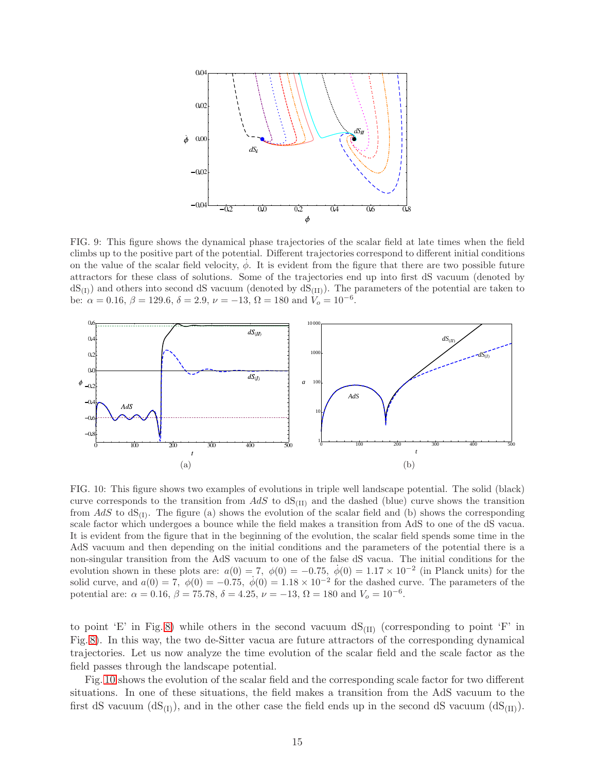

<span id="page-15-0"></span>FIG. 9: This figure shows the dynamical phase trajectories of the scalar field at late times when the field climbs up to the positive part of the potential. Different trajectories correspond to different initial conditions on the value of the scalar field velocity,  $\dot{\phi}$ . It is evident from the figure that there are two possible future attractors for these class of solutions. Some of the trajectories end up into first dS vacuum (denoted by  $dS_{(I)}$ ) and others into second dS vacuum (denoted by  $dS_{(II)}$ ). The parameters of the potential are taken to be:  $\alpha = 0.16$ ,  $\beta = 129.6$ ,  $\delta = 2.9$ ,  $\nu = -13$ ,  $\Omega = 180$  and  $\widetilde{V}_o = 10^{-6}$ .



<span id="page-15-1"></span>FIG. 10: This figure shows two examples of evolutions in triple well landscape potential. The solid (black) curve corresponds to the transition from  $AdS$  to  $dS$ <sub>(II)</sub> and the dashed (blue) curve shows the transition from AdS to  $dS_{(I)}$ . The figure (a) shows the evolution of the scalar field and (b) shows the corresponding scale factor which undergoes a bounce while the field makes a transition from AdS to one of the dS vacua. It is evident from the figure that in the beginning of the evolution, the scalar field spends some time in the AdS vacuum and then depending on the initial conditions and the parameters of the potential there is a non-singular transition from the AdS vacuum to one of the false dS vacua. The initial conditions for the evolution shown in these plots are:  $a(0) = 7$ ,  $\phi(0) = -0.75$ ,  $\dot{\phi}(0) = 1.17 \times 10^{-2}$  (in Planck units) for the solid curve, and  $a(0) = 7$ ,  $\phi(0) = -0.75$ ,  $\dot{\phi}(0) = 1.18 \times 10^{-2}$  for the dashed curve. The parameters of the potential are:  $\alpha = 0.16$ ,  $\beta = 75.78$ ,  $\delta = 4.25$ ,  $\nu = -13$ ,  $\Omega = 180$  and  $V_o = 10^{-6}$ .

to point 'E' in Fig. [8\)](#page-14-0) while others in the second vacuum  $dS_{(II)}$  (corresponding to point 'F' in Fig. [8\)](#page-14-0). In this way, the two de-Sitter vacua are future attractors of the corresponding dynamical trajectories. Let us now analyze the time evolution of the scalar field and the scale factor as the field passes through the landscape potential.

Fig. [10](#page-15-1) shows the evolution of the scalar field and the corresponding scale factor for two different situations. In one of these situations, the field makes a transition from the AdS vacuum to the first dS vacuum  $(dS_{(I)})$ , and in the other case the field ends up in the second dS vacuum  $(dS_{(II)})$ .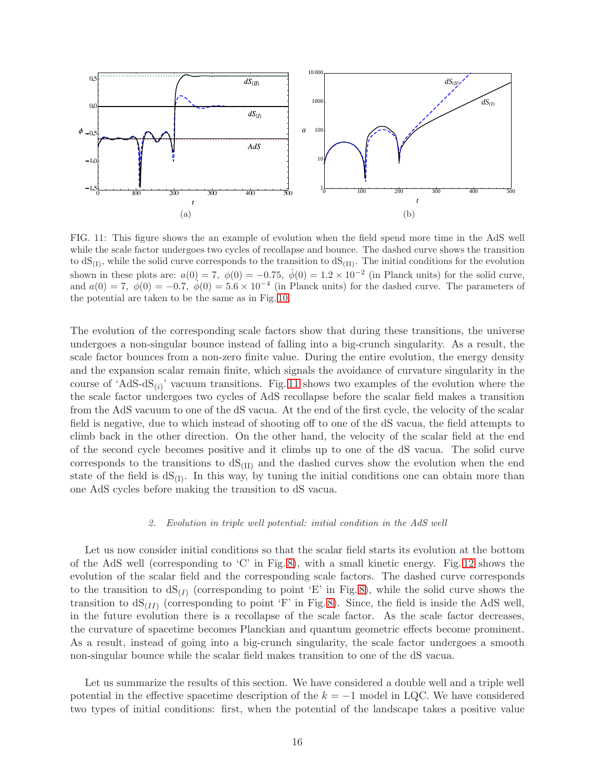

<span id="page-16-0"></span>FIG. 11: This figure shows the an example of evolution when the field spend more time in the AdS well while the scale factor undergoes two cycles of recollapse and bounce. The dashed curve shows the transition to  $dS_{(I)}$ , while the solid curve corresponds to the transition to  $dS_{(II)}$ . The initial conditions for the evolution shown in these plots are:  $a(0) = 7$ ,  $\phi(0) = -0.75$ ,  $\dot{\phi}(0) = 1.2 \times 10^{-2}$  (in Planck units) for the solid curve, and  $a(0) = 7$ ,  $\phi(0) = -0.7$ ,  $\phi(0) = 5.6 \times 10^{-4}$  (in Planck units) for the dashed curve. The parameters of the potential are taken to be the same as in Fig. [10.](#page-15-1)

The evolution of the corresponding scale factors show that during these transitions, the universe undergoes a non-singular bounce instead of falling into a big-crunch singularity. As a result, the scale factor bounces from a non-zero finite value. During the entire evolution, the energy density and the expansion scalar remain finite, which signals the avoidance of curvature singularity in the course of 'AdS-dS<sub>(i)</sub>' vacuum transitions. Fig. [11](#page-16-0) shows two examples of the evolution where the the scale factor undergoes two cycles of AdS recollapse before the scalar field makes a transition from the AdS vacuum to one of the dS vacua. At the end of the first cycle, the velocity of the scalar field is negative, due to which instead of shooting off to one of the dS vacua, the field attempts to climb back in the other direction. On the other hand, the velocity of the scalar field at the end of the second cycle becomes positive and it climbs up to one of the dS vacua. The solid curve corresponds to the transitions to  $dS<sub>(II)</sub>$  and the dashed curves show the evolution when the end state of the field is  $dS_{(I)}$ . In this way, by tuning the initial conditions one can obtain more than one AdS cycles before making the transition to dS vacua.

#### 2. Evolution in triple well potential: initial condition in the AdS well

Let us now consider initial conditions so that the scalar field starts its evolution at the bottom of the AdS well (corresponding to 'C' in Fig. [8\)](#page-14-0), with a small kinetic energy. Fig. [12](#page-17-0) shows the evolution of the scalar field and the corresponding scale factors. The dashed curve corresponds to the transition to  $dS_{(I)}$  (corresponding to point 'E' in Fig. [8\)](#page-14-0), while the solid curve shows the transition to  $dS<sub>(II)</sub>$  (corresponding to point 'F' in Fig. [8\)](#page-14-0). Since, the field is inside the AdS well, in the future evolution there is a recollapse of the scale factor. As the scale factor decreases, the curvature of spacetime becomes Planckian and quantum geometric effects become prominent. As a result, instead of going into a big-crunch singularity, the scale factor undergoes a smooth non-singular bounce while the scalar field makes transition to one of the dS vacua.

Let us summarize the results of this section. We have considered a double well and a triple well potential in the effective spacetime description of the  $k = -1$  model in LQC. We have considered two types of initial conditions: first, when the potential of the landscape takes a positive value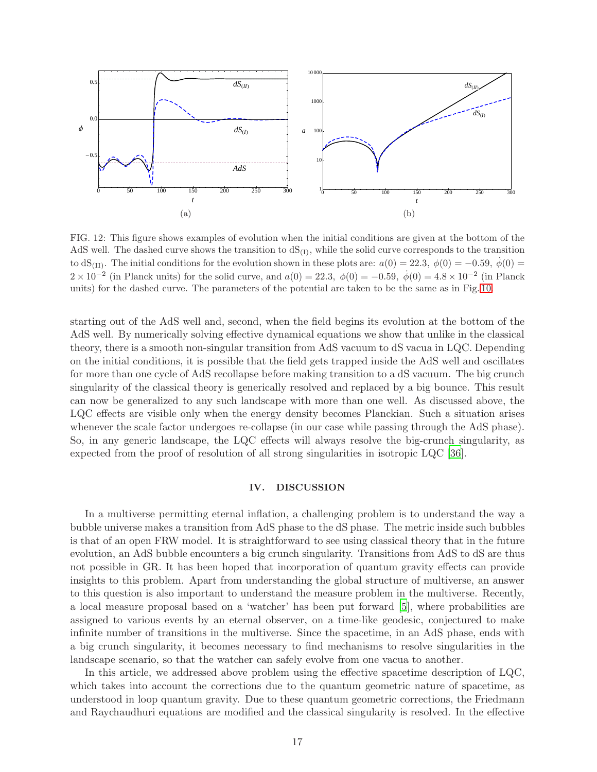

<span id="page-17-0"></span>FIG. 12: This figure shows examples of evolution when the initial conditions are given at the bottom of the AdS well. The dashed curve shows the transition to  $dS_{(I)}$ , while the solid curve corresponds to the transition to dS<sub>(II)</sub>. The initial conditions for the evolution shown in these plots are:  $a(0) = 22.3$ ,  $\phi(0) = -0.59$ ,  $\dot{\phi}(0) =$  $2 \times 10^{-2}$  (in Planck units) for the solid curve, and  $a(0) = 22.3$ ,  $\phi(0) = -0.59$ ,  $\dot{\phi}(0) = 4.8 \times 10^{-2}$  (in Planck units) for the dashed curve. The parameters of the potential are taken to be the same as in Fig. [10.](#page-15-1)

starting out of the AdS well and, second, when the field begins its evolution at the bottom of the AdS well. By numerically solving effective dynamical equations we show that unlike in the classical theory, there is a smooth non-singular transition from AdS vacuum to dS vacua in LQC. Depending on the initial conditions, it is possible that the field gets trapped inside the AdS well and oscillates for more than one cycle of AdS recollapse before making transition to a dS vacuum. The big crunch singularity of the classical theory is generically resolved and replaced by a big bounce. This result can now be generalized to any such landscape with more than one well. As discussed above, the LQC effects are visible only when the energy density becomes Planckian. Such a situation arises whenever the scale factor undergoes re-collapse (in our case while passing through the AdS phase). So, in any generic landscape, the LQC effects will always resolve the big-crunch singularity, as expected from the proof of resolution of all strong singularities in isotropic LQC [\[36\]](#page-21-11).

## IV. DISCUSSION

In a multiverse permitting eternal inflation, a challenging problem is to understand the way a bubble universe makes a transition from AdS phase to the dS phase. The metric inside such bubbles is that of an open FRW model. It is straightforward to see using classical theory that in the future evolution, an AdS bubble encounters a big crunch singularity. Transitions from AdS to dS are thus not possible in GR. It has been hoped that incorporation of quantum gravity effects can provide insights to this problem. Apart from understanding the global structure of multiverse, an answer to this question is also important to understand the measure problem in the multiverse. Recently, a local measure proposal based on a 'watcher' has been put forward [\[5](#page-20-4)], where probabilities are assigned to various events by an eternal observer, on a time-like geodesic, conjectured to make infinite number of transitions in the multiverse. Since the spacetime, in an AdS phase, ends with a big crunch singularity, it becomes necessary to find mechanisms to resolve singularities in the landscape scenario, so that the watcher can safely evolve from one vacua to another.

In this article, we addressed above problem using the effective spacetime description of LQC, which takes into account the corrections due to the quantum geometric nature of spacetime, as understood in loop quantum gravity. Due to these quantum geometric corrections, the Friedmann and Raychaudhuri equations are modified and the classical singularity is resolved. In the effective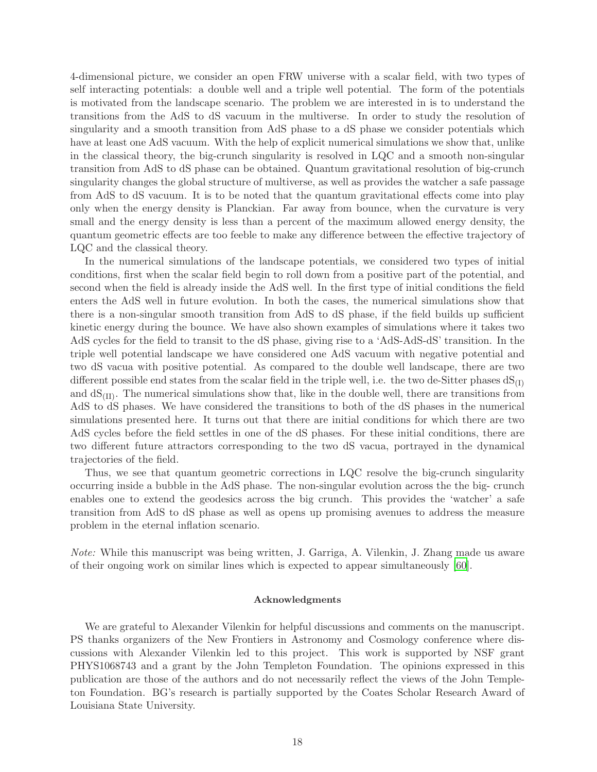4-dimensional picture, we consider an open FRW universe with a scalar field, with two types of self interacting potentials: a double well and a triple well potential. The form of the potentials is motivated from the landscape scenario. The problem we are interested in is to understand the transitions from the AdS to dS vacuum in the multiverse. In order to study the resolution of singularity and a smooth transition from AdS phase to a dS phase we consider potentials which have at least one AdS vacuum. With the help of explicit numerical simulations we show that, unlike in the classical theory, the big-crunch singularity is resolved in LQC and a smooth non-singular transition from AdS to dS phase can be obtained. Quantum gravitational resolution of big-crunch singularity changes the global structure of multiverse, as well as provides the watcher a safe passage from AdS to dS vacuum. It is to be noted that the quantum gravitational effects come into play only when the energy density is Planckian. Far away from bounce, when the curvature is very small and the energy density is less than a percent of the maximum allowed energy density, the quantum geometric effects are too feeble to make any difference between the effective trajectory of LQC and the classical theory.

In the numerical simulations of the landscape potentials, we considered two types of initial conditions, first when the scalar field begin to roll down from a positive part of the potential, and second when the field is already inside the AdS well. In the first type of initial conditions the field enters the AdS well in future evolution. In both the cases, the numerical simulations show that there is a non-singular smooth transition from AdS to dS phase, if the field builds up sufficient kinetic energy during the bounce. We have also shown examples of simulations where it takes two AdS cycles for the field to transit to the dS phase, giving rise to a 'AdS-AdS-dS' transition. In the triple well potential landscape we have considered one AdS vacuum with negative potential and two dS vacua with positive potential. As compared to the double well landscape, there are two different possible end states from the scalar field in the triple well, i.e. the two de-Sitter phases  $dS_{(I)}$ and  $dS<sub>(II)</sub>$ . The numerical simulations show that, like in the double well, there are transitions from AdS to dS phases. We have considered the transitions to both of the dS phases in the numerical simulations presented here. It turns out that there are initial conditions for which there are two AdS cycles before the field settles in one of the dS phases. For these initial conditions, there are two different future attractors corresponding to the two dS vacua, portrayed in the dynamical trajectories of the field.

Thus, we see that quantum geometric corrections in LQC resolve the big-crunch singularity occurring inside a bubble in the AdS phase. The non-singular evolution across the the big- crunch enables one to extend the geodesics across the big crunch. This provides the 'watcher' a safe transition from AdS to dS phase as well as opens up promising avenues to address the measure problem in the eternal inflation scenario.

Note: While this manuscript was being written, J. Garriga, A. Vilenkin, J. Zhang made us aware of their ongoing work on similar lines which is expected to appear simultaneously [\[60\]](#page-22-16).

#### Acknowledgments

We are grateful to Alexander Vilenkin for helpful discussions and comments on the manuscript. PS thanks organizers of the New Frontiers in Astronomy and Cosmology conference where discussions with Alexander Vilenkin led to this project. This work is supported by NSF grant PHYS1068743 and a grant by the John Templeton Foundation. The opinions expressed in this publication are those of the authors and do not necessarily reflect the views of the John Templeton Foundation. BG's research is partially supported by the Coates Scholar Research Award of Louisiana State University.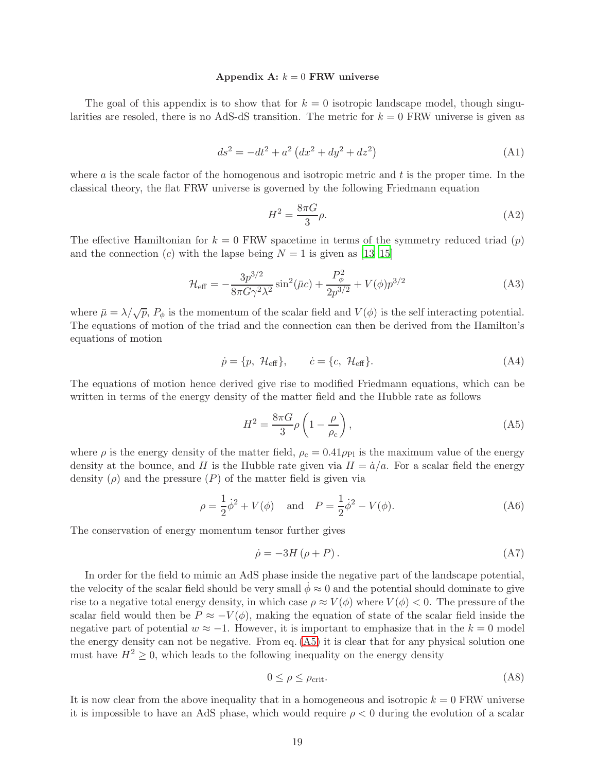#### <span id="page-19-0"></span>Appendix A:  $k = 0$  FRW universe

The goal of this appendix is to show that for  $k = 0$  isotropic landscape model, though singularities are resoled, there is no AdS-dS transition. The metric for  $k = 0$  FRW universe is given as

$$
ds^{2} = -dt^{2} + a^{2} \left(dx^{2} + dy^{2} + dz^{2}\right)
$$
 (A1)

where  $\alpha$  is the scale factor of the homogenous and isotropic metric and  $t$  is the proper time. In the classical theory, the flat FRW universe is governed by the following Friedmann equation

<span id="page-19-3"></span>
$$
H^2 = \frac{8\pi G}{3}\rho.
$$
 (A2)

The effective Hamiltonian for  $k = 0$  FRW spacetime in terms of the symmetry reduced triad  $(p)$ and the connection (c) with the lapse being  $N = 1$  is given as [\[13](#page-21-3)[–15](#page-21-15)]

$$
\mathcal{H}_{\text{eff}} = -\frac{3p^{3/2}}{8\pi G \gamma^2 \lambda^2} \sin^2(\bar{\mu}c) + \frac{P_{\phi}^2}{2p^{3/2}} + V(\phi)p^{3/2}
$$
 (A3)

where  $\bar{\mu} = \lambda/\sqrt{p}$ ,  $P_{\phi}$  is the momentum of the scalar field and  $V(\phi)$  is the self interacting potential. The equations of motion of the triad and the connection can then be derived from the Hamilton's equations of motion

$$
\dot{p} = \{p, \mathcal{H}_{\text{eff}}\}, \qquad \dot{c} = \{c, \mathcal{H}_{\text{eff}}\}.
$$
 (A4)

The equations of motion hence derived give rise to modified Friedmann equations, which can be written in terms of the energy density of the matter field and the Hubble rate as follows

<span id="page-19-1"></span>
$$
H^2 = \frac{8\pi G}{3}\rho \left(1 - \frac{\rho}{\rho_c}\right),\tag{A5}
$$

where  $\rho$  is the energy density of the matter field,  $\rho_c = 0.41 \rho_{\rm Pl}$  is the maximum value of the energy density at the bounce, and H is the Hubble rate given via  $H = \dot{a}/a$ . For a scalar field the energy density  $(\rho)$  and the pressure  $(P)$  of the matter field is given via

$$
\rho = \frac{1}{2}\dot{\phi}^2 + V(\phi) \quad \text{and} \quad P = \frac{1}{2}\dot{\phi}^2 - V(\phi). \tag{A6}
$$

The conservation of energy momentum tensor further gives

<span id="page-19-2"></span>
$$
\dot{\rho} = -3H\left(\rho + P\right). \tag{A7}
$$

In order for the field to mimic an AdS phase inside the negative part of the landscape potential, the velocity of the scalar field should be very small  $\phi \approx 0$  and the potential should dominate to give rise to a negative total energy density, in which case  $\rho \approx V(\phi)$  where  $V(\phi) < 0$ . The pressure of the scalar field would then be  $P \approx -V(\phi)$ , making the equation of state of the scalar field inside the negative part of potential  $w \approx -1$ . However, it is important to emphasize that in the  $k = 0$  model the energy density can not be negative. From eq.  $(A5)$  it is clear that for any physical solution one must have  $H^2 \geq 0$ , which leads to the following inequality on the energy density

$$
0 \le \rho \le \rho_{\rm crit}.\tag{A8}
$$

It is now clear from the above inequality that in a homogeneous and isotropic  $k = 0$  FRW universe it is impossible to have an AdS phase, which would require  $\rho < 0$  during the evolution of a scalar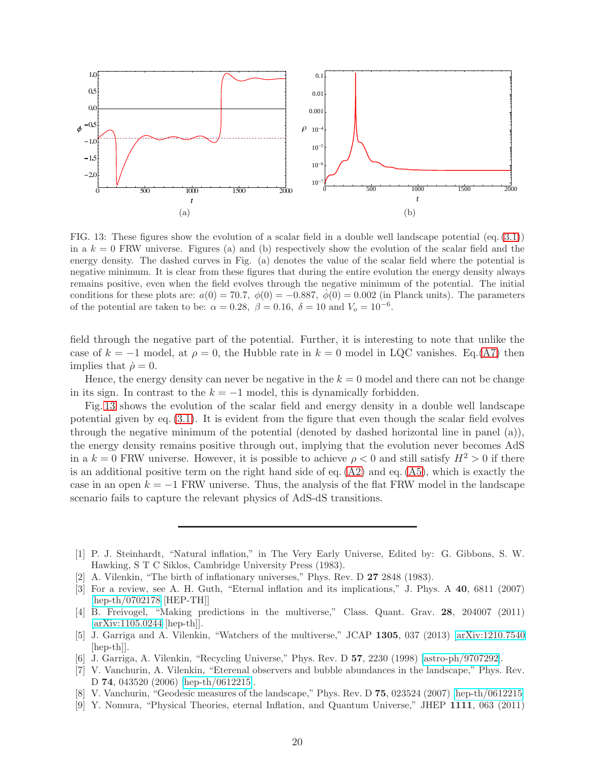

<span id="page-20-7"></span>FIG. 13: These figures show the evolution of a scalar field in a double well landscape potential  $(eq. (3.1))$  $(eq. (3.1))$  $(eq. (3.1))$ in a  $k = 0$  FRW universe. Figures (a) and (b) respectively show the evolution of the scalar field and the energy density. The dashed curves in Fig. (a) denotes the value of the scalar field where the potential is negative minimum. It is clear from these figures that during the entire evolution the energy density always remains positive, even when the field evolves through the negative minimum of the potential. The initial conditions for these plots are:  $a(0) = 70.7$ ,  $\phi(0) = -0.887$ ,  $\dot{\phi}(0) = 0.002$  (in Planck units). The parameters of the potential are taken to be:  $\alpha = 0.28$ ,  $\beta = 0.16$ ,  $\delta = 10$  and  $V_o = 10^{-6}$ .

field through the negative part of the potential. Further, it is interesting to note that unlike the case of  $k = -1$  model, at  $\rho = 0$ , the Hubble rate in  $k = 0$  model in LQC vanishes. Eq.[\(A7\)](#page-19-2) then implies that  $\dot{\rho} = 0$ .

Hence, the energy density can never be negative in the  $k = 0$  model and there can not be change in its sign. In contrast to the  $k = -1$  model, this is dynamically forbidden.

Fig. [13](#page-20-7) shows the evolution of the scalar field and energy density in a double well landscape potential given by eq. [\(3.1\)](#page-8-2). It is evident from the figure that even though the scalar field evolves through the negative minimum of the potential (denoted by dashed horizontal line in panel (a)), the energy density remains positive through out, implying that the evolution never becomes AdS in a  $k = 0$  FRW universe. However, it is possible to achieve  $\rho < 0$  and still satisfy  $H^2 > 0$  if there is an additional positive term on the right hand side of eq.  $(A2)$  and eq.  $(A5)$ , which is exactly the case in an open  $k = -1$  FRW universe. Thus, the analysis of the flat FRW model in the landscape scenario fails to capture the relevant physics of AdS-dS transitions.

- <span id="page-20-0"></span>[1] P. J. Steinhardt, "Natural inflation," in The Very Early Universe, Edited by: G. Gibbons, S. W. Hawking, S T C Siklos, Cambridge University Press (1983).
- <span id="page-20-1"></span>[2] A. Vilenkin, "The birth of inflationary universes," Phys. Rev. D 27 2848 (1983).
- <span id="page-20-2"></span>[3] For a review, see A. H. Guth, "Eternal inflation and its implications," J. Phys. A 40, 6811 (2007) [\[hep-th/0702178](http://arxiv.org/abs/hep-th/0702178) [HEP-TH]]
- <span id="page-20-3"></span>[4] B. Freivogel, "Making predictions in the multiverse," Class. Quant. Grav. 28, 204007 (2011) [\[arXiv:1105.0244](http://arxiv.org/abs/1105.0244) [hep-th]].
- <span id="page-20-4"></span>[5] J. Garriga and A. Vilenkin, "Watchers of the multiverse," JCAP 1305, 037 (2013) [\[arXiv:1210.7540](http://arxiv.org/abs/1210.7540)] [hep-th]].
- <span id="page-20-5"></span>[6] J. Garriga, A. Vilenkin, "Recycling Universe," Phys. Rev. D 57, 2230 (1998) [\[astro-ph/9707292\]](http://arxiv.org/abs/astro-ph/9707292).
- [7] V. Vanchurin, A. Vilenkin, "Eterenal observers and bubble abundances in the landscape," Phys. Rev. D 74, 043520 (2006) [\[hep-th/0612215\]](http://arxiv.org/abs/hep-th/0612215).
- [8] V. Vanchurin, "Geodesic measures of the landscape," Phys. Rev. D 75, 023524 (2007) [\[hep-th/0612215\]](http://arxiv.org/abs/hep-th/0612215)
- <span id="page-20-6"></span>[9] Y. Nomura, "Physical Theories, eternal Inflation, and Quantum Universe," JHEP 1111, 063 (2011)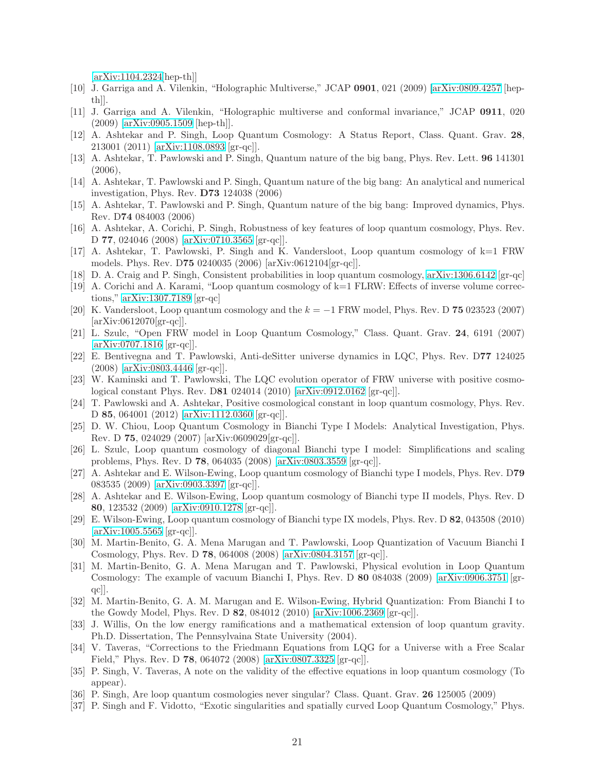[\[arXiv:1104.2324\[](http://arxiv.org/abs/1104.2324)hep-th]]

- <span id="page-21-0"></span>[10] J. Garriga and A. Vilenkin, "Holographic Multiverse," JCAP 0901, 021 (2009) [\[arXiv:0809.4257](http://arxiv.org/abs/0809.4257) [hepth]].
- <span id="page-21-1"></span>[11] J. Garriga and A. Vilenkin, "Holographic multiverse and conformal invariance," JCAP 0911, 020 (2009) [\[arXiv:0905.1509](http://arxiv.org/abs/0905.1509) [hep-th]].
- <span id="page-21-2"></span>[12] A. Ashtekar and P. Singh, Loop Quantum Cosmology: A Status Report, Class. Quant. Grav. 28, 213001 (2011) [\[arXiv:1108.0893](http://arxiv.org/abs/1108.0893) [gr-qc]].
- <span id="page-21-3"></span>[13] A. Ashtekar, T. Pawlowski and P. Singh, Quantum nature of the big bang, Phys. Rev. Lett. 96 141301 (2006),
- <span id="page-21-5"></span>[14] A. Ashtekar, T. Pawlowski and P. Singh, Quantum nature of the big bang: An analytical and numerical investigation, Phys. Rev. D73 124038 (2006)
- <span id="page-21-15"></span>[15] A. Ashtekar, T. Pawlowski and P. Singh, Quantum nature of the big bang: Improved dynamics, Phys. Rev. D74 084003 (2006)
- <span id="page-21-4"></span>[16] A. Ashtekar, A. Corichi, P. Singh, Robustness of key features of loop quantum cosmology, Phys. Rev. D 77, 024046 (2008) [\[arXiv:0710.3565](http://arxiv.org/abs/0710.3565) [gr-qc]].
- [17] A. Ashtekar, T. Pawlowski, P. Singh and K. Vandersloot, Loop quantum cosmology of k=1 FRW models. Phys. Rev. D75 0240035 (2006) [arXiv:0612104[gr-qc]].
- [18] D. A. Craig and P. Singh, Consistent probabilities in loop quantum cosmology, [arXiv:1306.6142](http://arxiv.org/abs/1306.6142) [gr-qc]
- [19] A. Corichi and A. Karami, "Loop quantum cosmology of k=1 FLRW: Effects of inverse volume corrections," [arXiv:1307.7189](http://arxiv.org/abs/1307.7189) [gr-qc]
- <span id="page-21-13"></span>[20] K. Vandersloot, Loop quantum cosmology and the  $k = -1$  FRW model, Phys. Rev. D 75 023523 (2007)  $\left[\ar{\text{Xiv:}}0612070\right]\left[\text{gr-qc}\right]$ .
- <span id="page-21-14"></span>[21] L. Szulc, "Open FRW model in Loop Quantum Cosmology," Class. Quant. Grav. 24, 6191 (2007)  $[\text{arXiv:}0707.1816 \text{ [gr-qc]}.$
- [22] E. Bentivegna and T. Pawlowski, Anti-deSitter universe dynamics in LQC, Phys. Rev. D77 124025 (2008) [\[arXiv:0803.4446](http://arxiv.org/abs/0803.4446) [gr-qc]].
- [23] W. Kaminski and T. Pawlowski, The LQC evolution operator of FRW universe with positive cosmological constant Phys. Rev. D81 024014 (2010) [\[arXiv:0912.0162](http://arxiv.org/abs/0912.0162) [gr-qc]].
- <span id="page-21-6"></span>[24] T. Pawlowski and A. Ashtekar, Positive cosmological constant in loop quantum cosmology, Phys. Rev. D 85, 064001 (2012) [\[arXiv:1112.0360](http://arxiv.org/abs/1112.0360) [gr-qc]].
- <span id="page-21-7"></span>[25] D. W. Chiou, Loop Quantum Cosmology in Bianchi Type I Models: Analytical Investigation, Phys. Rev. D 75, 024029 (2007) [arXiv:0609029[gr-qc]].
- [26] L. Szulc, Loop quantum cosmology of diagonal Bianchi type I model: Simplifications and scaling problems, Phys. Rev. D 78, 064035 (2008) [\[arXiv:0803.3559](http://arxiv.org/abs/0803.3559) [gr-qc]].
- [27] A. Ashtekar and E. Wilson-Ewing, Loop quantum cosmology of Bianchi type I models, Phys. Rev. D79 083535 (2009) [\[arXiv:0903.3397](http://arxiv.org/abs/0903.3397) [gr-qc]].
- [28] A. Ashtekar and E. Wilson-Ewing, Loop quantum cosmology of Bianchi type II models, Phys. Rev. D 80, 123532 (2009) [\[arXiv:0910.1278](http://arxiv.org/abs/0910.1278) [gr-qc]].
- [29] E. Wilson-Ewing, Loop quantum cosmology of Bianchi type IX models, Phys. Rev. D 82, 043508 (2010) [\[arXiv:1005.5565](http://arxiv.org/abs/1005.5565) [gr-qc]].
- [30] M. Martin-Benito, G. A. Mena Marugan and T. Pawlowski, Loop Quantization of Vacuum Bianchi I Cosmology, Phys. Rev. D 78, 064008 (2008) [\[arXiv:0804.3157](http://arxiv.org/abs/0804.3157) [gr-qc]].
- [31] M. Martin-Benito, G. A. Mena Marugan and T. Pawlowski, Physical evolution in Loop Quantum Cosmology: The example of vacuum Bianchi I, Phys. Rev. D 80 084038 (2009) [\[arXiv:0906.3751](http://arxiv.org/abs/0906.3751) [grqc]].
- <span id="page-21-8"></span>[32] M. Martin-Benito, G. A. M. Marugan and E. Wilson-Ewing, Hybrid Quantization: From Bianchi I to the Gowdy Model, Phys. Rev. D 82, 084012 (2010) [\[arXiv:1006.2369](http://arxiv.org/abs/1006.2369) [gr-qc]].
- <span id="page-21-9"></span>[33] J. Willis, On the low energy ramifications and a mathematical extension of loop quantum gravity. Ph.D. Dissertation, The Pennsylvaina State University (2004).
- [34] V. Taveras, "Corrections to the Friedmann Equations from LQG for a Universe with a Free Scalar Field," Phys. Rev. D 78, 064072 (2008) [\[arXiv:0807.3325](http://arxiv.org/abs/0807.3325) [gr-qc]].
- <span id="page-21-10"></span>[35] P. Singh, V. Taveras, A note on the validity of the effective equations in loop quantum cosmology (To appear).
- <span id="page-21-11"></span>[36] P. Singh, Are loop quantum cosmologies never singular? Class. Quant. Grav. 26 125005 (2009)
- <span id="page-21-12"></span>[37] P. Singh and F. Vidotto, "Exotic singularities and spatially curved Loop Quantum Cosmology," Phys.